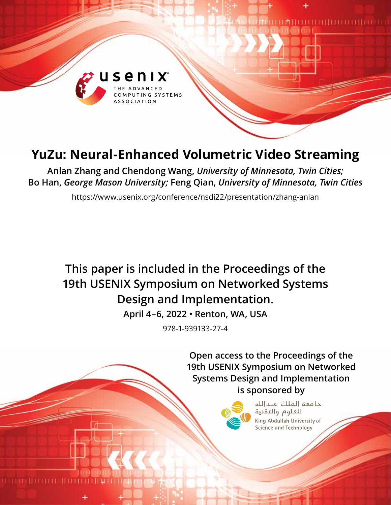

# **YuZu: Neural-Enhanced Volumetric Video Streaming**

**Anlan Zhang and Chendong Wang,** *University of Minnesota, Twin Cities;*  **Bo Han,** *George Mason University;* **Feng Qian,** *University of Minnesota, Twin Cities*

https://www.usenix.org/conference/nsdi22/presentation/zhang-anlan

# **This paper is included in the Proceedings of the 19th USENIX Symposium on Networked Systems Design and Implementation.**

**April 4–6, 2022 • Renton, WA, USA**

978-1-939133-27-4

**Open access to the Proceedings of the 19th USENIX Symposium on Networked Systems Design and Implementation is sponsored by**



حامعة الملك عبدالله للعلوم والتقنية King Abdullah University of Science and Technology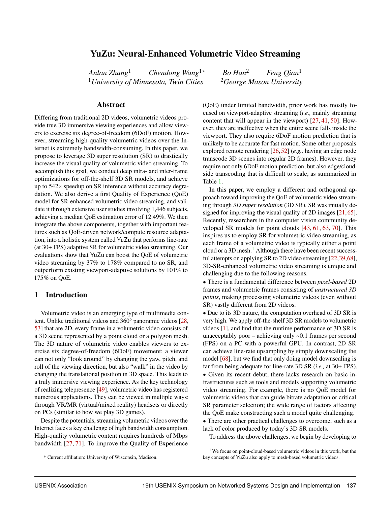# YuZu: Neural-Enhanced Volumetric Video Streaming

*Anlan Zhang*<sup>1</sup> *Chendong Wang*1<sup>∗</sup> *Bo Han*<sup>2</sup> *Feng Qian*<sup>1</sup> <sup>1</sup>University of Minnesota, Twin Cities <sup>2</sup>George Mason University

#### Abstract

Differing from traditional 2D videos, volumetric videos provide true 3D immersive viewing experiences and allow viewers to exercise six degree-of-freedom (6DoF) motion. However, streaming high-quality volumetric videos over the Internet is extremely bandwidth-consuming. In this paper, we propose to leverage 3D super resolution (SR) to drastically increase the visual quality of volumetric video streaming. To accomplish this goal, we conduct deep intra- and inter-frame optimizations for off-the-shelf 3D SR models, and achieve up to 542× speedup on SR inference without accuracy degradation. We also derive a first Quality of Experience (QoE) model for SR-enhanced volumetric video streaming, and validate it through extensive user studies involving 1,446 subjects, achieving a median QoE estimation error of 12.49%. We then integrate the above components, together with important features such as QoE-driven network/compute resource adaptation, into a holistic system called YuZu that performs line-rate (at 30+ FPS) adaptive SR for volumetric video streaming. Our evaluations show that YuZu can boost the QoE of volumetric video streaming by 37% to 178% compared to no SR, and outperform existing viewport-adaptive solutions by 101% to 175% on QoE.

#### <span id="page-1-1"></span>1 Introduction

Volumetric video is an emerging type of multimedia content. Unlike traditional videos and 360° panoramic videos [\[28,](#page-13-0) [53\]](#page-15-0) that are 2D, every frame in a volumetric video consists of a 3D scene represented by a point cloud or a polygon mesh. The 3D nature of volumetric video enables viewers to exercise six degree-of-freedom (6DoF) movement: a viewer can not only "look around" by changing the yaw, pitch, and roll of the viewing direction, but also "walk" in the video by changing the translational position in 3D space. This leads to a truly immersive viewing experience. As the key technology of realizing telepresence [\[49\]](#page-14-0), volumetric video has registered numerous applications. They can be viewed in multiple ways: through VR/MR (virtual/mixed reality) headsets or directly on PCs (similar to how we play 3D games).

Despite the potentials, streaming volumetric videos over the Internet faces a key challenge of high bandwidth consumption. High-quality volumetric content requires hundreds of Mbps bandwidth [\[27,](#page-13-1) [71\]](#page-15-1). To improve the Quality of Experience

(QoE) under limited bandwidth, prior work has mostly focused on viewport-adaptive streaming (*i.e.,* mainly streaming content that will appear in the viewport) [\[27,](#page-13-1) [41,](#page-14-1) [50\]](#page-14-2). However, they are ineffective when the entire scene falls inside the viewport. They also require 6DoF motion prediction that is unlikely to be accurate for fast motion. Some other proposals explored remote rendering [\[26,](#page-13-2)[52\]](#page-15-2) (*e.g.,* having an edge node transcode 3D scenes into regular 2D frames). However, they require not only 6DoF motion prediction, but also edge/cloudside transcoding that is difficult to scale, as summarized in Table [1.](#page-2-0)

In this paper, we employ a different and orthogonal approach toward improving the QoE of volumetric video streaming through *3D super resolution* (3D SR). SR was initially designed for improving the visual quality of 2D images [\[21,](#page-13-3) [65\]](#page-15-3). Recently, researchers in the computer vision community developed SR models for point clouds [\[43,](#page-14-3) [61,](#page-15-4) [63,](#page-15-5) [70\]](#page-15-6). This inspires us to employ SR for volumetric video streaming, as each frame of a volumetric video is typically either a point cloud or a 3D mesh.<sup>[1](#page-1-0)</sup> Although there have been recent successful attempts on applying SR to 2D video streaming [\[22,](#page-13-4)[39,](#page-14-4)[68\]](#page-15-7), 3D-SR-enhanced volumetric video streaming is unique and challenging due to the following reasons.

● There is a fundamental difference between *pixel-based* 2D frames and volumetric frames consisting of *unstructured 3D points*, making processing volumetric videos (even without SR) vastly different from 2D videos.

• Due to its 3D nature, the computation overhead of 3D SR is very high. We apply off-the-shelf 3D SR models to volumetric videos [\[1\]](#page-13-5), and find that the runtime performance of 3D SR is unacceptably poor – achieving only ∼0.1 frames per second (FPS) on a PC with a powerful GPU. In contrast, 2D SR can achieve line-rate upsampling by simply downscaling the model [\[68\]](#page-15-7), but we find that only doing model downscaling is far from being adequate for line-rate 3D SR (*i.e.,* at 30+ FPS). • Given its recent debut, there lacks research on basic in-

frastructures such as tools and models supporting volumetric video streaming. For example, there is no QoE model for volumetric videos that can guide bitrate adaptation or critical SR parameter selection; the wide range of factors affecting the QoE make constructing such a model quite challenging.

● There are other practical challenges to overcome, such as a lack of color produced by today's 3D SR models.

To address the above challenges, we begin by developing to

<sup>\*</sup> Current affiliation: University of Wisconsin, Madison.

<span id="page-1-0"></span><sup>&</sup>lt;sup>1</sup>We focus on point-cloud-based volumetric videos in this work, but the key concepts of YuZu also apply to mesh-based volumetric videos.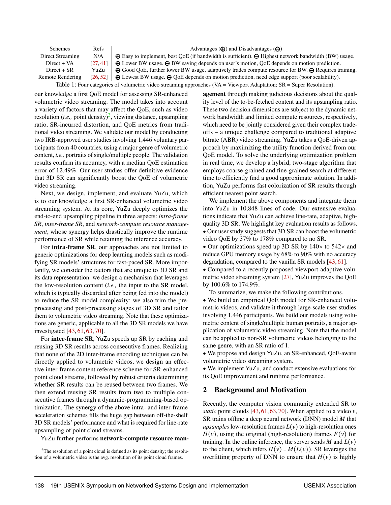<span id="page-2-0"></span>

| <b>Schemes</b>                                                                                                              | Refs     | Advantages $(\bigoplus)$ and Disadvantages $(\bigoplus)$                                                                |  |  |  |
|-----------------------------------------------------------------------------------------------------------------------------|----------|-------------------------------------------------------------------------------------------------------------------------|--|--|--|
| Direct Streaming                                                                                                            | N/A      | $\bigoplus$ Easy to implement, best QoE (if bandwidth is sufficient). $\bigoplus$ Highest network bandwidth (BW) usage. |  |  |  |
| $Direct + VA$                                                                                                               | [27.41]  | $\bigoplus$ Lower BW usage. $\bigoplus$ BW saving depends on user's motion, QoE depends on motion prediction.           |  |  |  |
| $Direct + SR$                                                                                                               | YuZu     | $\bigoplus$ Good QoE, further lower BW usage, adaptively trades compute resource for BW. $\bigoplus$ Requires training. |  |  |  |
| <b>Remote Rendering</b>                                                                                                     | [26, 52] | $\bigoplus$ Lowest BW usage. $\bigoplus$ QoE depends on motion prediction, need edge support (poor scalability).        |  |  |  |
| Table 1: Four categories of volumetric video streaming approaches $(VA = V_i)$ and $A$ daptation; $SR = Super Resolution$ . |          |                                                                                                                         |  |  |  |

our knowledge a first QoE model for assessing SR-enhanced volumetric video streaming. The model takes into account a variety of factors that may affect the QoE, such as video resolution (*i.e.*, point density)<sup>[2](#page-2-1)</sup>, viewing distance, upsampling ratio, SR-incurred distortion, and QoE metrics from traditional video streaming. We validate our model by conducting two IRB-approved user studies involving 1,446 voluntary participants from 40 countries, using a major genre of volumetric content, *i.e.,* portraits of single/multiple people. The validation results confirm its accuracy, with a median QoE estimation error of 12.49%. Our user studies offer definitive evidence that 3D SR can significantly boost the QoE of volumetric video streaming.

Next, we design, implement, and evaluate YuZu, which is to our knowledge a first SR-enhanced volumetric video streaming system. At its core, YuZu deeply optimizes the end-to-end upsampling pipeline in three aspects: *intra-frame SR*, *inter-frame SR*, and *network-compute resource management*, whose synergy helps drastically improve the runtime performance of SR while retaining the inference accuracy.

For intra-frame SR, our approaches are not limited to generic optimizations for deep learning models such as modifying SR models' structures for fast-paced SR. More importantly, we consider the factors that are unique to 3D SR and its data representation: we design a mechanism that leverages the low-resolution content (*i.e.,* the input to the SR model, which is typically discarded after being fed into the model) to reduce the SR model complexity; we also trim the preprocessing and post-processing stages of 3D SR and tailor them to volumetric video streaming. Note that these optimizations are generic, applicable to all the 3D SR models we have investigated [\[43,](#page-14-3) [61,](#page-15-4) [63,](#page-15-5) [70\]](#page-15-6).

For inter-frame SR, YuZu speeds up SR by caching and reusing 3D SR results across consecutive frames. Realizing that none of the 2D inter-frame encoding techniques can be directly applied to volumetric videos, we design an effective inter-frame content reference scheme for SR-enhanced point cloud streams, followed by robust criteria determining whether SR results can be reused between two frames. We then extend reusing SR results from two to multiple consecutive frames through a dynamic-programming-based optimization. The synergy of the above intra- and inter-frame acceleration schemes fills the huge gap between off-the-shelf 3D SR models' performance and what is required for line-rate upsampling of point cloud streams.

YuZu further performs network-compute resource man-

agement through making judicious decisions about the quality level of the to-be-fetched content and its upsampling ratio. These two decision dimensions are subject to the dynamic network bandwidth and limited compute resources, respectively, which need to be jointly considered given their complex tradeoffs – a unique challenge compared to traditional adaptive bitrate (ABR) video streaming. YuZu takes a QoE-driven approach by maximizing the utility function derived from our QoE model. To solve the underlying optimization problem in real time, we develop a hybrid, two-stage algorithm that employs coarse-grained and fine-grained search at different time to efficiently find a good approximate solution. In addition, YuZu performs fast colorization of SR results through efficient nearest point search.

We implement the above components and integrate them into YuZu in 10,848 lines of code. Our extensive evaluations indicate that YuZu can achieve line-rate, adaptive, highquality 3D SR. We highlight key evaluation results as follows. ● Our user study suggests that 3D SR can boost the volumetric video QoE by 37% to 178% compared to no SR.

• Our optimizations speed up 3D SR by  $140\times$  to  $542\times$  and reduce GPU memory usage by 68% to 90% with no accuracy degradation, compared to the vanilla SR models [\[43,](#page-14-3) [61\]](#page-15-4).

• Compared to a recently proposed viewport-adaptive volumetric video streaming system [\[27\]](#page-13-1), YuZu improves the QoE by 100.6% to 174.9%.

To summarize, we make the following contributions.

• We build an empirical QoE model for SR-enhanced volumetric videos, and validate it through large-scale user studies involving 1,446 participants. We build our models using volumetric content of single/multiple human portraits, a major application of volumetric video streaming. Note that the model can be applied to non-SR volumetric videos belonging to the same genre, with an SR ratio of 1.

• We propose and design YuZu, an SR-enhanced, QoE-aware volumetric video streaming system.

• We implement YuZu, and conduct extensive evaluations for its QoE improvement and runtime performance.

#### <span id="page-2-2"></span>2 Background and Motivation

Recently, the computer vision community extended SR to *static* point clouds [\[43,](#page-14-3) [61,](#page-15-4) [63,](#page-15-5) [70\]](#page-15-6). When applied to a video *v*, SR trains offline a deep neural network (DNN) model *M* that *upsamples* low-resolution frames  $L(v)$  to high-resolution ones  $H(v)$ , using the original (high-resolution) frames  $F(v)$  for training. In the online inference, the server sends  $M$  and  $L(v)$ to the client, which infers  $H(v) = M(L(v))$ . SR leverages the overfitting property of DNN to ensure that  $H(v)$  is highly

<span id="page-2-1"></span><sup>&</sup>lt;sup>2</sup>The resolution of a point cloud is defined as its point density; the resolution of a volumetric video is the avg. resolution of its point cloud frames.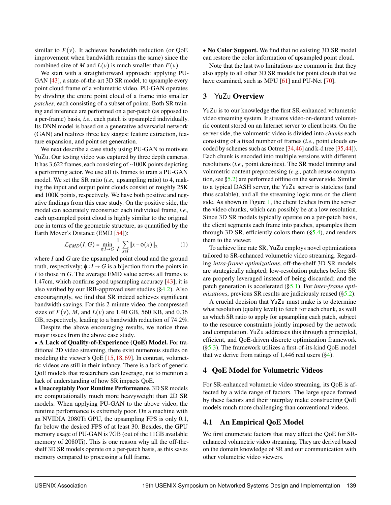similar to  $F(v)$ . It achieves bandwidth reduction (or OoE improvement when bandwidth remains the same) since the combined size of *M* and  $L(v)$  is much smaller than  $F(v)$ .

We start with a straightforward approach: applying PU-GAN [\[43\]](#page-14-3), a state-of-the-art 3D SR model, to upsample every point cloud frame of a volumetric video. PU-GAN operates by dividing the entire point cloud of a frame into smaller *patches*, each consisting of a subset of points. Both SR training and inference are performed on a per-patch (as opposed to a per-frame) basis, *i.e.,* each patch is upsampled individually. Its DNN model is based on a generative adversarial network (GAN) and realizes three key stages: feature extraction, feature expansion, and point set generation.

We next describe a case study using PU-GAN to motivate YuZu. Our testing video was captured by three depth cameras. It has 3,622 frames, each consisting of ∼100K points depicting a performing actor. We use all its frames to train a PU-GAN model. We set the SR ratio (*i.e.,* upsampling ratio) to 4, making the input and output point clouds consist of roughly 25K and 100K points, respectively. We have both positive and negative findings from this case study. On the positive side, the model can accurately reconstruct each individual frame, *i.e.,* each upsampled point cloud is highly similar to the original one in terms of the geometric structure, as quantified by the Earth Mover's Distance (EMD [\[54\]](#page-15-8)):

$$
\mathcal{L}_{EMD}(I, G) = \min_{\phi: I \to G} \frac{1}{|I|} \sum_{x \in I} ||x - \phi(x)||_2 \tag{1}
$$

where *I* and *G* are the upsampled point cloud and the ground truth, respectively;  $\phi: I \to G$  is a bijection from the points in *I* to those in *G*. The average EMD value across all frames is 1.47cm, which confirms good upsampling accuracy [\[43\]](#page-14-3); it is also verified by our IRB-approved user studies ([§4.2\)](#page-4-0). Also encouragingly, we find that SR indeed achieves significant bandwidth savings. For this 2-minute video, the compressed sizes of  $F(v)$ , *M*, and  $L(v)$  are 1.40 GB, 560 KB, and 0.36 GB, respectively, leading to a bandwidth reduction of 74.2%.

Despite the above encouraging results, we notice three major issues from the above case study.

● A Lack of Quality-of-Experience (QoE) Model. For traditional 2D video streaming, there exist numerous studies on modeling the viewer's QoE [\[15,](#page-13-6) [18,](#page-13-7) [69\]](#page-15-9). In contrast, volumetric videos are still in their infancy. There is a lack of generic QoE models that researchers can leverage, not to mention a lack of understanding of how SR impacts QoE.

● Unacceptably Poor Runtime Performance. 3D SR models are computationally much more heavyweight than 2D SR models. When applying PU-GAN to the above video, the runtime performance is extremely poor. On a machine with an NVIDIA 2080Ti GPU, the upsampling FPS is only 0.1, far below the desired FPS of at least 30. Besides, the GPU memory usage of PU-GAN is 7GB (out of the 11GB available memory of 2080Ti). This is one reason why all the off-theshelf 3D SR models operate on a per-patch basis, as this saves memory compared to processing a full frame.

• No Color Support. We find that no existing 3D SR model can restore the color information of upsampled point cloud.

Note that the last two limitations are common in that they also apply to all other 3D SR models for point clouds that we have examined, such as MPU [\[61\]](#page-15-4) and PU-Net [\[70\]](#page-15-6).

### 3 YuZu Overview

YuZu is to our knowledge the first SR-enhanced volumetric video streaming system. It streams video-on-demand volumetric content stored on an Internet server to client hosts. On the server side, the volumetric video is divided into *chunks* each consisting of a fixed number of frames (*i.e.,* point clouds encoded by schemes such as Octree [\[34](#page-14-5)[,46\]](#page-14-6) and k-d tree [\[35,](#page-14-7)[44\]](#page-14-8)). Each chunk is encoded into multiple versions with different resolutions (*i.e.,* point densities). The SR model training and volumetric content preprocessing (*e.g.,* patch reuse computation, see [§5.2\)](#page-7-0) are performed offline on the server side. Similar to a typical DASH server, the YuZu server is stateless (and thus scalable), and all the streaming logic runs on the client side. As shown in Figure [1,](#page-4-1) the client fetches from the server the video chunks, which can possibly be at a low resolution. Since 3D SR models typically operate on a per-patch basis, the client segments each frame into patches, upsamples them through 3D SR, efficiently colors them  $(\S$ 5.4), and renders them to the viewer.

<span id="page-3-1"></span>To achieve line rate SR, YuZu employs novel optimizations tailored to SR-enhanced volumetric video streaming. Regarding *intra-frame optimizations*, off-the-shelf 3D SR models are strategically adapted; low-resolution patches before SR are properly leveraged instead of being discarded; and the patch generation is accelerated ([§5.1\)](#page-5-0). For *inter-frame optimizations*, previous SR results are judiciously reused ([§5.2\)](#page-7-0).

A crucial decision that YuZu must make is to determine what resolution (quality level) to fetch for each chunk, as well as which SR ratio to apply for upsampling each patch, subject to the resource constraints jointly imposed by the network and computation. YuZu addresses this through a principled, efficient, and QoE-driven discrete optimization framework ([§5.3\)](#page-8-0). The framework utilizes a first-of-its-kind QoE model that we derive from ratings of 1,446 real users  $(\S 4)$ .

## <span id="page-3-0"></span>4 QoE Model for Volumetric Videos

For SR-enhanced volumetric video streaming, its QoE is affected by a wide range of factors. The large space formed by these factors and their interplay make constructing QoE models much more challenging than conventional videos.

# <span id="page-3-2"></span>4.1 An Empirical QoE Model

We first enumerate factors that may affect the QoE for SRenhanced volumetric video streaming. They are derived based on the domain knowledge of SR and our communication with other volumetric video viewers.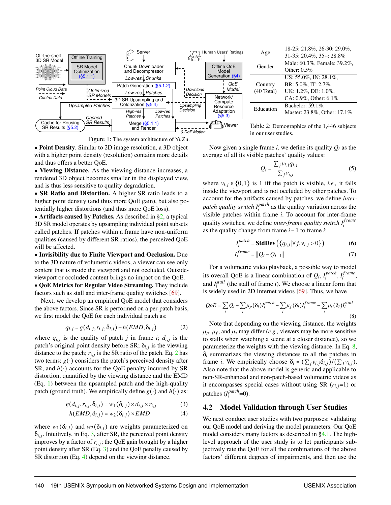<span id="page-4-1"></span>



• Point Density. Similar to 2D image resolution, a 3D object with a higher point density (resolution) contains more details and thus offers a better QoE.

• Viewing Distance. As the viewing distance increases, a rendered 3D object becomes smaller in the displayed view, and is thus less sensitive to quality degradation.

• SR Ratio and Distortion. A higher SR ratio leads to a higher point density (and thus more QoE gain), but also potentially higher distortions (and thus more QoE loss).

• Artifacts caused by Patches. As described in  $\S2$ , a typical 3D SR model operates by upsampling individual point subsets called patches. If patches within a frame have non-uniform qualities (caused by different SR ratios), the perceived QoE will be affected.

● Invisibility due to Finite Viewport and Occlusion. Due to the 3D nature of volumetric videos, a viewer can see only content that is inside the viewport and not occluded. Outsideviewport or occluded content brings no impact on the QoE.

● QoE Metrics for Regular Video Streaming. They include factors such as stall and inter-frame quality switches [\[69\]](#page-15-9).

<span id="page-4-2"></span>Next, we develop an empirical QoE model that considers the above factors. Since SR is performed on a per-patch basis, we first model the QoE for each individual patch as:

$$
q_{i,j} = g(d_{i,j}, r_{i,j}, \delta_{i,j}) - h(EMD, \delta_{i,j})
$$
 (2)

where  $q_{i,j}$  is the quality of patch *j* in frame *i*;  $d_{i,j}$  is the patch's original point density before SR;  $\delta_{i,j}$  is the viewing distance to the patch;  $r_{i,j}$  is the SR ratio of the patch. Eq. [2](#page-4-2) has two terms:  $g(\cdot)$  considers the patch's perceived density after SR, and  $h(\cdot)$  accounts for the QoE penalty incurred by SR distortion, quantified by the viewing distance and the EMD (Eq. [1\)](#page-3-1) between the upsampled patch and the high-quality patch (ground truth). We empirically define  $g(\cdot)$  and  $h(\cdot)$  as:

$$
g(d_{i,j}, r_{i,j}, \delta_{i,j}) = w_1(\delta_{i,j}) \times d_{i,j} \times r_{i,j}
$$
 (3)

$$
h(EMD, \delta_{i,j}) = w_2(\delta_{i,j}) \times EMD \tag{4}
$$

where  $w_1(\delta_{i,j})$  and  $w_2(\delta_{i,j})$  are weights parameterized on  $\delta_{i,j}$ . Intuitively, in Eq. [3,](#page-4-3) after SR, the perceived point density improves by a factor of  $r_{i,j}$ ; the QoE gain brought by a higher point density after SR (Eq. [3\)](#page-4-3) and the QoE penalty caused by SR distortion (Eq. [4\)](#page-4-4) depend on the viewing distance.

|                      | 18-25: 21.8%, 26-30: 29.0%,   |
|----------------------|-------------------------------|
| Age                  | 31-35: 20.4%, 35+: 28.8%      |
| Gender               | Male: 60.3%, Female: 39.2%,   |
|                      | Other: $0.5\%$                |
|                      | US: $55.0\%$ , IN: $28.1\%$ . |
| Country              | BR: 5.0%, IT: 2.7%,           |
| $(40 \text{ Total})$ | UK: 1.2%, DE: 1.0%,           |
|                      | CA: $0.9\%$ , Other: 6.1%     |
| Education            | Bachelor: 59.1%,              |
|                      | Master: 23.8%, Other: 17.1%   |

Table 2: Demographics of the 1,446 subjects in our user studies.

Now given a single frame *i*, we define its quality *Q<sup>i</sup>* as the average of all its visible patches' quality values:

$$
Q_i = \frac{\sum_j v_{i,j} q_{i,j}}{\sum_j v_{i,j}}
$$
 (5)

where  $v_{i,j} \in \{0,1\}$  is 1 iff the patch is visible, *i.e.*, it falls inside the viewport and is not occluded by other patches. To account for the artifacts caused by patches, we define *interpatch quality switch I patch*  $i$ <sup>*patch*</sup> as the quality variation across the visible patches within frame *i*. To account for inter-frame quality switches, we define *inter-frame quality switch*  $I_i^{frame}$ *i* as the quality change from frame *i*−1 to frame *i*:

$$
I_i^{patch} = \text{StdDev}\left(\{q_{i,j}|\forall j, v_{i,j} > 0\}\right) \tag{6}
$$

<span id="page-4-5"></span>
$$
I_i^{frame} = \|Q_i - Q_{i-1}\|
$$
 (7)

For a volumetric video playback, a possible way to model its overall QoE is a linear combination of  $Q_i$ ,  $I_i^{patch}$ <sup>*patch*</sup>, *I*<sup>*frame*</sup> *i* , and  $I_i^{stall}$  (the stall of frame *i*). We choose a linear form that is widely used in 2D Internet videos [\[69\]](#page-15-9). Thus, we have

$$
QoE = \sum_{i} Q_i - \sum_{i} \mu_P(\delta_i) I_i^{patch} - \sum_{i} \mu_f(\delta_i) I_i^{frame} - \sum_{i} \mu_s(\delta_i) I_i^{stall}
$$
\n(8)

Note that depending on the viewing distance, the weights  $\mu_p$ ,  $\mu_f$ , and  $\mu_s$  may differ (*e.g.*, viewers may be more sensitive to stalls when watching a scene at a closer distance), so we parameterize the weights with the viewing distance. In Eq. [8,](#page-4-5)  $\delta$ *i* summarizes the viewing distances to all the patches in frame *i*. We empirically choose  $\delta_i = (\sum_j v_{i,j} \delta_{i,j})/(\sum_j v_{i,j})$ . Also note that the above model is generic and applicable to non-SR-enhanced and non-patch-based volumetric videos as it encompasses special cases without using SR  $(r_i, j=1)$  or patches (*I patch*  $i$ <sup>patch</sup>=0).

#### <span id="page-4-4"></span><span id="page-4-3"></span><span id="page-4-0"></span>4.2 Model Validation through User Studies

We next conduct user studies with two purposes: validating our QoE model and deriving the model parameters. Our QoE model considers many factors as described in [§4.1.](#page-3-2) The highlevel approach of the user study is to let participants subjectively rate the QoE for all the combinations of the above factors' different degrees of impairments, and then use the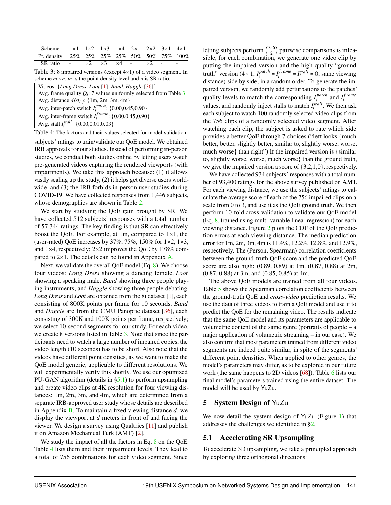<span id="page-5-1"></span>

| Scheme   $1 \times 1$   $1 \times 2$   $1 \times 3$   $1 \times 4$   $2 \times 1$   $2 \times 2$   $3 \times 1$   $4 \times 1$ |                                                                                     |  |  |  |  |
|--------------------------------------------------------------------------------------------------------------------------------|-------------------------------------------------------------------------------------|--|--|--|--|
| Pt. density   25%   25%   25%   25%   50%   50%   75%   $100\%$                                                                |                                                                                     |  |  |  |  |
| SR ratio                                                                                                                       | $\vert - \vert \times 2 \vert \times 3 \vert \times 4 \vert - \vert \times 2 \vert$ |  |  |  |  |

Table 3: 8 impaired versions (except 4×1) of a video segment. In scheme  $m \times n$ , *m* is the point density level and *n* is SR ratio.

<span id="page-5-2"></span>

| Videos: {Long Dress, Loot [1]; Band, Haggle [36]}                   |
|---------------------------------------------------------------------|
| Avg. frame quality $Q_i$ : 7 values uniformly selected from Table 3 |
| Avg. distance $dist_{i,j}$ : {1m, 2m, 3m, 4m}                       |
| Avg. inter-patch switch $I_i^{patch}$ : {0.00,0.45,0.90}            |
| Avg. inter-frame switch $I_i^{frame}$ : {0.00,0.45,0.90}            |
| Avg. stall $I_i^{stall}$ : {0.00,0.01,0.03}                         |

Table 4: The factors and their values selected for model validation.

subjects' ratings to train/validate our QoE model. We obtained IRB approvals for our studies. Instead of performing in-person studies, we conduct both studies online by letting users watch pre-generated videos capturing the rendered viewports (with impairments). We take this approach because: (1) it allows vastly scaling up the study, (2) it helps get diverse users worldwide, and (3) the IRB forbids in-person user studies during COVID-19. We have collected responses from 1,446 subjects, whose demographics are shown in Table [2.](#page-4-1)

We start by studying the QoE gain brought by SR. We have collected 512 subjects' responses with a total number of 57,344 ratings. The key finding is that SR can effectively boost the QoE. For example, at 1m, compared to  $1\times1$ , the (user-rated) QoE increases by  $37\%, 75\%, 150\%$  for  $1\times2, 1\times3,$ and 1×4, respectively; 2×2 improves the QoE by 178% compared to  $2\times1$ . The details can be found in Appendix [A.](#page-15-10)

Next, we validate the overall QoE model (Eq. [8\)](#page-4-5). We choose four videos: *Long Dress* showing a dancing female, *Loot* showing a speaking male, *Band* showing three people playing instruments, and *Haggle* showing three people debating. *Long Dress* and *Loot* are obtained from the 8i dataset [\[1\]](#page-13-5), each consisting of 800K points per frame for 10 seconds. *Band* and *Haggle* are from the CMU Panoptic dataset [\[36\]](#page-14-9), each consisting of 300K and 100K points per frame, respectively; we select 10-second segments for our study. For each video, we create 8 versions listed in Table [3.](#page-5-1) Note that since the participants need to watch a large number of impaired copies, the video length (10 seconds) has to be short. Also note that the videos have different point densities, as we want to make the QoE model generic, applicable to different resolutions. We will experimentally verify this shortly. We use our optimized PU-GAN algorithm (details in  $\S$ 5.1) to perform upsampling and create video clips at 4K resolution for four viewing distances: 1m, 2m, 3m, and 4m, which are determined from a separate IRB-approved user study whose details are described in Appendix [B.](#page-16-0) To maintain a fixed viewing distance *d*, we display the viewport at *d* meters in front of and facing the viewer. We design a survey using Qualtrics [\[11\]](#page-13-8) and publish it on Amazon Mechanical Turk (AMT) [\[2\]](#page-13-9).

We study the impact of all the factors in Eq. [8](#page-4-5) on the QoE. Table [4](#page-5-2) lists them and their impairment levels. They lead to a total of 756 combinations for each video segment. Since

letting subjects perform  $\binom{756}{2}$  $2<sup>50</sup>$ ) pairwise comparisons is infeasible, for each combination, we generate one video clip by putting the impaired version and the high-quality "ground truth" version  $(4 \times 1, I_i^{patch}$ *i* = *I f rame*  $I_i^{frame} = I_i^{stall} = 0$ , same viewing distance) side by side, in a random order. To generate the impaired version, we randomly add perturbations to the patches' quality levels to match the corresponding *I patch i*<sub>*i*</sub> and  $I_i^{frame}$ *i* values, and randomly inject stalls to match  $I_i^{stall}$ . We then ask each subject to watch 100 randomly selected video clips from the 756 clips of a randomly selected video segment. After watching each clip, the subject is asked to rate which side provides a better QoE through 7 choices ("left looks {much better, better, slightly better, similar to, slightly worse, worse, much worse} than right") If the impaired version is {similar to, slightly worse, worse, much worse} than the ground truth, we give the impaired version a score of {3,2,1,0}, respectively.

We have collected 934 subjects' responses with a total number of 93,400 ratings for the above survey published on AMT. For each viewing distance, we use the subjects' ratings to calculate the average score of each of the 756 impaired clips on a scale from 0 to 3, and use it as the QoE ground truth. We then perform 10-fold cross-validation to validate our QoE model (Eq. [8,](#page-4-5) trained using multi-variable linear regression) for each viewing distance. Figure [2](#page-6-0) plots the CDF of the QoE prediction errors at each viewing distance. The median prediction error for 1m, 2m, 3m, 4m is 11.4%, 12.2%, 12.8%, and 12.9%, respectively. The (Person, Spearman) correlation coefficients between the ground-truth QoE score and the predicted QoE score are also high: (0.89, 0.89) at 1m, (0.87, 0.88) at 2m, (0.87, 0.88) at 3m, and (0.85, 0.85) at 4m.

The above QoE models are trained from all four videos. Table [5](#page-6-0) shows the Spearman correlation coefficients between the ground-truth QoE and *cross-video* prediction results. We use the data of three videos to train a QoE model and use it to predict the QoE for the remaining video. The results indicate that the same QoE model and its parameters are applicable to volumetric content of the same genre (portraits of people – a major application of volumetric streaming – in our case). We also confirm that most parameters trained from different video segments are indeed quite similar, in spite of the segments' different point densities. When applied to other genres, the model's parameters may differ, as to be explored in our future work (the same happens to 2D videos [\[68\]](#page-15-7)). Table [6](#page-6-0) lists our final model's parameters trained using the entire dataset. The model will be used by YuZu.

## <span id="page-5-3"></span>5 System Design of YuZu

We now detail the system design of YuZu (Figure [1\)](#page-4-1) that addresses the challenges we identified in [§2.](#page-2-2)

# <span id="page-5-0"></span>5.1 Accelerating SR Upsampling

To accelerate 3D upsampling, we take a principled approach by exploring three orthogonal directions: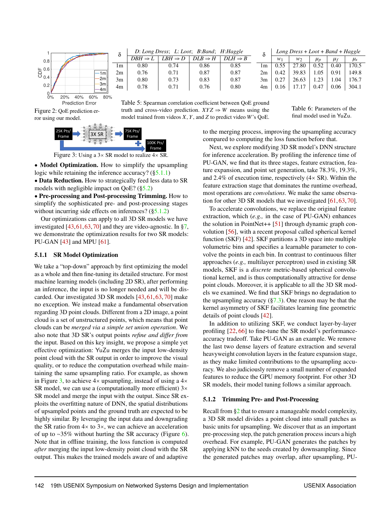<span id="page-6-0"></span>

<span id="page-6-3"></span>Figure 2: QoE prediction error using our model.



| $\delta$       | D: Long Dress; L: Loot; B:Band; H:Haggle |                     |                     |                     |     | $Long Dress + Loot + Band + Haggle$ |       |           |         |                              |
|----------------|------------------------------------------|---------------------|---------------------|---------------------|-----|-------------------------------------|-------|-----------|---------|------------------------------|
|                | $DBH \Rightarrow I$                      | $LBH \Rightarrow D$ | $DLB \Rightarrow H$ | $DIH \Rightarrow R$ |     |                                     | w٦    | $\mu_{D}$ | $\mu_f$ | $\mu_{\scriptscriptstyle S}$ |
| 1 <sub>m</sub> | 0.80                                     | 0.74                | 0.86                | 0.85                | l m |                                     | 27.80 | 0.52      | 0.40    | .70.5                        |
| 2m             | 0.76                                     | 0.71                | 0.87                | 0.87                | 2m  | 0.42                                | 39.83 | .05       | 0.91    | 149.8                        |
| 3m             | 0.80                                     | 0.73                | 0.83                | 0.87                | 3m  |                                     | 26.63 |           | L.O4    | 76.7                         |
| 4m             | 0.78                                     | O 71                | 0.76                | 0.80                | 4m  | 0.16                                |       | 0.47      | 0.06    | 304.1                        |

Table 5: Spearman correlation coefficient between QoE ground truth and cross-video prediction.  $XYZ \Rightarrow W$  means using the model trained from videos *X*, *Y*, and *Z* to predict video *W*'s QoE.

Table 6: Parameters of the final model used in YuZu.



Figure 3: Using a  $3 \times$  SR model to realize  $4 \times$  SR.

• Model Optimization. How to simplify the upsampling logic while retaining the inference accuracy? ([§5.1.1\)](#page-6-1)

• Data Reduction. How to strategically feed less data to SR models with negligible impact on QoE? ([§5.2\)](#page-7-0)

● Pre-processing and Post-processing Trimming. How to simplify the sophisticated pre- and post-processing stages without incurring side effects on inferences? ([§5.1.2\)](#page-6-2)

Our optimizations can apply to all 3D SR models we have investigated  $[43,61,63,70]$  $[43,61,63,70]$  $[43,61,63,70]$  $[43,61,63,70]$  and they are video-agnostic. In [§7,](#page-9-1) we demonstrate the optimization results for two SR models: PU-GAN [\[43\]](#page-14-3) and MPU [\[61\]](#page-15-4).

#### <span id="page-6-1"></span>5.1.1 SR Model Optimization

We take a "top-down" approach by first optimizing the model as a whole and then fine-tuning its detailed structure. For most machine learning models (including 2D SR), after performing an inference, the input is no longer needed and will be discarded. Our investigated 3D SR models [\[43,](#page-14-3) [61,](#page-15-4) [63,](#page-15-5) [70\]](#page-15-6) make no exception. We instead make a fundamental observation regarding 3D point clouds. Different from a 2D image, a point cloud is a set of unstructured points, which means that point clouds can be *merged via a simple set union operation*. We also note that 3D SR's output points *refine and differ from* the input. Based on this key insight, we propose a simple yet effective optimization: YuZu merges the input low-density point cloud with the SR output in order to improve the visual quality, or to reduce the computation overhead while maintaining the same upsampling ratio. For example, as shown in Figure [3,](#page-6-3) to achieve  $4\times$  upsampling, instead of using a  $4\times$ SR model, we can use a (computationally more efficient)  $3\times$ SR model and merge the input with the output. Since SR exploits the overfitting nature of DNN, the spatial distributions of upsampled points and the ground truth are expected to be highly similar. By leveraging the input data and downgrading the SR ratio from  $4 \times$  to  $3 \times$ , we can achieve an acceleration of up to ∼35% without hurting the SR accuracy (Figure [6\)](#page-10-0). Note that in offline training, the loss function is computed *after* merging the input low-density point cloud with the SR output. This makes the trained models aware of and adaptive

to the merging process, improving the upsampling accuracy compared to computing the loss function before that.

Next, we explore modifying 3D SR model's DNN structure for inference acceleration. By profiling the inference time of PU-GAN, we find that its three stages, feature extraction, feature expansion, and point set generation, take 78.3%, 19.3%, and 2.4% of execution time, respectively (4× SR). Within the feature extraction stage that dominates the runtime overhead, most operations are *convolutions*. We make the same observation for other 3D SR models that we investigated [\[61,](#page-15-4) [63,](#page-15-5) [70\]](#page-15-6).

To accelerate convolutions, we replace the original feature extraction, which (*e.g.,* in the case of PU-GAN) enhances the solution in PointNet++ [\[51\]](#page-15-11) through dynamic graph convolution [\[56\]](#page-15-12), with a recent proposal called spherical kernel function (SKF) [\[42\]](#page-14-10). SKF partitions a 3D space into multiple volumetric bins and specifies a learnable parameter to convolve the points in each bin. In contrast to continuous filter approaches (*e.g.,* multilayer perceptron) used in existing SR models, SKF is a *discrete* metric-based spherical convolutional kernel, and is thus computationally attractive for dense point clouds. Moreover, it is applicable to all the 3D SR models we examined. We find that SKF brings no degradation to the upsampling accuracy  $(\frac{6}{3}, \frac{3}{3})$ . One reason may be that the kernel asymmetry of SKF facilitates learning fine geometric details of point clouds [\[42\]](#page-14-10).

In addition to utilizing SKF, we conduct layer-by-layer profiling [\[22,](#page-13-4) [66\]](#page-15-13) to fine-tune the SR model's performanceaccuracy tradeoff. Take PU-GAN as an example. We remove the last two dense layers of feature extraction and several heavyweight convolution layers in the feature expansion stage, as they make limited contributions to the upsampling accuracy. We also judiciously remove a small number of expanded features to reduce the GPU memory footprint. For other 3D SR models, their model tuning follows a similar approach.

#### <span id="page-6-2"></span>5.1.2 Trimming Pre- and Post-Processing

Recall from [§2](#page-2-2) that to ensure a manageable model complexity, a 3D SR model divides a point cloud into small patches as basic units for upsampling. We discover that as an important pre-processing step, the patch generation process incurs a high overhead. For example, PU-GAN generates the patches by applying kNN to the seeds created by downsampling. Since the generated patches may overlap, after upsampling, PU-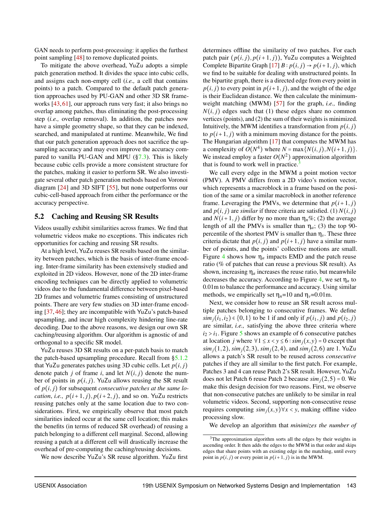GAN needs to perform post-processing: it applies the furthest point sampling [\[48\]](#page-14-11) to remove duplicated points.

To mitigate the above overhead, YuZu adopts a simple patch generation method. It divides the space into cubic cells, and assigns each non-empty cell (*i.e.,* a cell that contains points) to a patch. Compared to the default patch generation approaches used by PU-GAN and other 3D SR frameworks [\[43,](#page-14-3) [61\]](#page-15-4), our approach runs very fast; it also brings no overlap among patches, thus eliminating the post-processing step (*i.e.,* overlap removal). In addition, the patches now have a simple geometry shape, so that they can be indexed, searched, and manipulated at runtime. Meanwhile, We find that our patch generation approach does not sacrifice the upsampling accuracy and may even improve the accuracy compared to vanilla PU-GAN and MPU ([§7.3\)](#page-10-1). This is likely because cubic cells provide a more consistent structure for the patches, making it easier to perform SR. We also investigate several other patch generation methods based on Voronoi diagram [\[24\]](#page-13-10) and 3D SIFT [\[55\]](#page-15-14), but none outperforms our cubic-cell-based approach from either the performance or the accuracy perspective.

#### <span id="page-7-0"></span>5.2 Caching and Reusing SR Results

Videos usually exhibit similarities across frames. We find that volumetric videos make no exceptions. This indicates rich opportunities for caching and reusing SR results.

At a high level, YuZu reuses SR results based on the similarity between patches, which is the basis of inter-frame encoding. Inter-frame similarity has been extensively studied and exploited in 2D videos. However, none of the 2D inter-frame encoding techniques can be directly applied to volumetric videos due to the fundamental difference between pixel-based 2D frames and volumetric frames consisting of unstructured points. There are very few studies on 3D inter-frame encoding [\[37,](#page-14-12) [46\]](#page-14-6); they are incompatible with YuZu's patch-based upsampling, and incur high complexity hindering line-rate decoding. Due to the above reasons, we design our own SR caching/reusing algorithm. Our algorithm is agnostic of and orthogonal to a specific SR model.

YuZu reuses 3D SR results on a per-patch basis to match the patch-based upsampling procedure. Recall from [§5.1.2](#page-6-2) that YuZu generates patches using 3D cubic cells. Let  $p(i, j)$ denote patch *j* of frame *i*, and let  $N(i, j)$  denote the number of points in  $p(i, j)$ . YuZu allows reusing the SR result of *p*(*i*, *j*) for subsequent *consecutive patches at the same location, i.e.,*  $p(i+1, j)$ ,  $p(i+2, j)$ , and so on. YuZu restricts reusing patches only at the same location due to two considerations. First, we empirically observe that most patch similarities indeed occur at the same cell location; this makes the benefits (in terms of reduced SR overhead) of reusing a patch belonging to a different cell marginal. Second, allowing reusing a patch at a different cell will drastically increase the overhead of pre-computing the caching/reusing decisions.

We now describe YuZu's SR reuse algorithm. YuZu first

determines offline the similarity of two patches. For each patch pair  $(p(i, j), p(i+1, j))$ , YuZu computes a Weighted Complete Bipartite Graph  $[17]$  *B* :  $p(i, j) \rightarrow p(i+1, j)$ , which we find to be suitable for dealing with unstructured points. In the bipartite graph, there is a directed edge from every point in  $p(i, j)$  to every point in  $p(i+1, j)$ , and the weight of the edge is their Euclidean distance. We then calculate the minimumweight matching (MWM) [\[57\]](#page-15-15) for the graph, *i.e.,* finding  $N(i, j)$  edges such that (1) these edges share no common vertices (points), and (2) the sum of their weights is minimized. Intuitively, the MWM identifies a transformation from  $p(i, j)$ to  $p(i+1, j)$  with a minimum moving distance for the points. The Hungarian algorithm [\[17\]](#page-13-11) that computes the MWM has a complexity of  $O(N^4)$  where  $N = \max\{N(i, j), N(i+1, j)\}.$ We instead employ a faster  $O(N^2)$  approximation algorithm that is found to work well in practice.<sup>[3](#page-7-1)</sup>

We call every edge in the MWM a point motion vector (PMV). A PMV differs from a 2D video's motion vector, which represents a macroblock in a frame based on the position of the same or a similar macroblock in another reference frame. Leveraging the PMVs, we determine that  $p(i+1, j)$ and  $p(i, j)$  are *similar* if three criteria are satisfied. (1)  $N(i, j)$ and  $N(i+1, j)$  differ by no more than  $\eta_n\%$ ; (2) the average length of all the PMVs is smaller than  $\eta_a$ ; (3) the top 90percentile of the shortest PMV is smaller than  $\eta_{\nu}$ . These three criteria dictate that  $p(i, j)$  and  $p(i+1, j)$  have a similar number of points, and the points' collective motions are small. Figure [4](#page-8-1) shows how  $\eta_a$  impacts EMD and the patch reuse ratio (% of patches that can reuse a previous SR result). As shown, increasing  $\eta_a$  increases the reuse ratio, but meanwhile decreases the accuracy. According to Figure [4,](#page-8-1) we set  $\eta_a$  to 0.01m to balance the performance and accuracy. Using similar methods, we empirically set  $\eta_n=10$  and  $\eta_v=0.01$ m.

Next, we consider how to reuse an SR result across multiple patches belonging to consecutive frames. We define *sim*<sub>*j*</sub>( $i_1$ , $i_2$ ) ∈ {0,1} to be 1 if and only if *p*( $i_1$ , *j*) and *p*( $i_2$ , *j*) are similar, *i.e.,* satisfying the above three criteria where  $i_2 > i_1$ . Figure [5](#page-8-1) shows an example of 6 consecutive patches at location *j* where  $\forall 1 \le x < y \le 6$  :  $\sinh(i(x, y)) = 0$  except that *sim*<sub>*j*</sub>(1,2), *sim*<sub>*j*</sub>(2,3), *sim*<sub>*j*</sub>(2,4), and *sim*<sub>*j*</sub>(2,6) are 1. YuZu allows a patch's SR result to be reused across *consecutive* patches if they are all similar to the first patch. For example, Patches 3 and 4 can reuse Patch 2's SR result. However, YuZu does not let Patch 6 reuse Patch 2 because  $\sin \frac{i}{2}$ , 5) = 0. We make this design decision for two reasons. First, we observe that non-consecutive patches are unlikely to be similar in real volumetric videos. Second, supporting non-consecutive reuse requires computing  $\sinh f(x, y) \forall x < y$ , making offline video processing slow.

We develop an algorithm that *minimizes the number of*

<span id="page-7-1"></span><sup>&</sup>lt;sup>3</sup>The approximation algorithm sorts all the edges by their weights in ascending order. It then adds the edges to the MWM in that order and skips edges that share points with an existing edge in the matching, until every point in  $p(i, j)$  or every point in  $p(i+1, j)$  is in the MWM.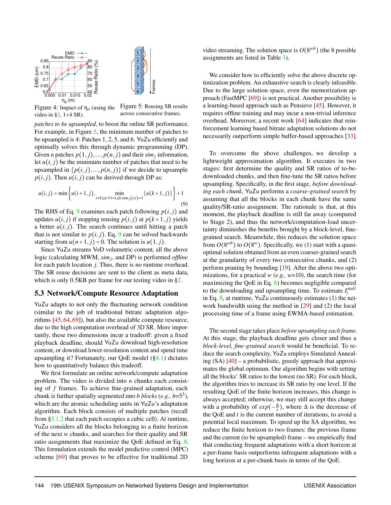<span id="page-8-1"></span>

Figure 4: Impact of η*<sup>a</sup>* (using the video in [§2,](#page-2-2)  $1 \times 4$  SR). Figure 5: Reusing SR results across consecutive frames.

*patches to be upsampled*, to boost the online SR performance. For example, in Figure [5,](#page-8-1) the minimum number of patches to be upsampled is 4: Patches 1, 2, 5, and 6. YuZu efficiently and optimally solves this through dynamic programming (DP). Given *n* patches  $p(1, j), ..., p(n, j)$  and their  $\text{sim}_j$  information, let  $u(i, j)$  be the minimum number of patches that need to be upsampled in  $\{p(i, j), ..., p(n, j)\}\$ if we decide to upsample  $p(i, j)$ . Then  $u(i, j)$  can be derived through DP as:

$$
u(i,j) = \min\left\{u(i+1,j), \min_{i < k \le n: \forall i < t \le k: \text{sim}_j(i,t) = 1} \{u(k+1,j)\}\right\} + 1\tag{9}
$$

The RHS of Eq. [9](#page-8-2) examines each patch following  $p(i, j)$  and updates  $u(i, j)$  if stopping reusing  $p(i, j)$  at  $p(k+1, j)$  yields a better  $u(i, j)$ . The search continues until hitting a patch that is not similar to  $p(i, j)$ . Eq. [9](#page-8-2) can be solved backwards starting from  $u(n+1, j) = 0$ . The solution is  $u(1, j)$ .

Since YuZu streams VoD volumetric content, all the above logic (calculating MWM, *sim<sup>j</sup>* , and DP) is performed *offline* for each patch location *j*. Thus, there is no runtime overhead. The SR reuse decisions are sent to the client as meta data, which is only 0.5KB per frame for our testing video in [§2.](#page-2-2)

#### <span id="page-8-0"></span>5.3 Network/Compute Resource Adaptation

YuZu adapts to not only the fluctuating network condition (similar to the job of traditional bitrate adaptation algorithms [\[45,](#page-14-13) [64,](#page-15-16) [69\]](#page-15-9)), but also the available compute resource, due to the high computation overhead of 3D SR. More importantly, these two dimensions incur a tradeoff: given a fixed playback deadline, should YuZu download high-resolution content, or download lower-resolution content and spend time upsampling it? Fortunately, our QoE model ([§4.1\)](#page-3-2) dictates how to quantitatively balance this tradeoff.

We first formulate an online network/compute adaptation problem. The video is divided into *n* chunks each consisting of *f* frames. To achieve fine-grained adaptation, each chunk is further spatially segmented into *b blocks* (*e.g., b*= $5^3$ ), which are the atomic scheduling units in YuZu's adaptation algorithm. Each block consists of multiple patches (recall from [§5.1.2](#page-6-2) that each patch occupies a cubic cell). At runtime, YuZu considers all the blocks belonging to a finite horizon of the next *w* chunks, and searches for their quality and SR ratio assignments that maximize the QoE defined in Eq. [8.](#page-4-5) This formulation extends the model predictive control (MPC) scheme [\[69\]](#page-15-9) that proves to be effective for traditional 2D

video streaming. The solution space is  $O(8^{wb})$  (the 8 possible assignments are listed in Table [3\)](#page-5-1).

We consider how to efficiently solve the above discrete optimization problem. An exhaustive search is clearly infeasible. Due to the large solution space, even the memorization approach (FastMPC [\[69\]](#page-15-9)) is not practical. Another possibility is a learning-based approach such as Pensieve [\[45\]](#page-14-13). However, it requires offline training and may incur a non-trivial inference overhead. Moreover, a recent work [\[64\]](#page-15-16) indicates that reinforcement learning based bitrate adaptation solutions do not necessarily outperform simple buffer-based approaches [\[33\]](#page-14-14).

<span id="page-8-2"></span>To overcome the above challenges, we develop a lightweight approximation algorithm. It executes in two stages: first determine the quality and SR ratios of to-bedownloaded chunks, and then fine-tune the SR ratios before upsampling. Specifically, in the first stage, *before downloading each chunk*, YuZu performs a *coarse-grained search* by assuming that all the blocks in each chunk have the same quality/SR-ratio assignment. The rationale is that, at this moment, the playback deadline is still far away (compared to Stage 2), and thus the network/computation-load uncertainty diminishes the benefits brought by a block-level, finegrained search. Meanwhile, this reduces the solution space from  $O(8^{wb})$  to  $O(8^w)$ . Specifically, we (1) start with a quasioptimal solution obtained from an even coarser-grained search at the granularity of every two consecutive chunks, and (2) perform pruning by bounding [\[19\]](#page-13-12). After the above two optimizations, for a practical *w* (*e.g., w*=10), the search time (for maximizing the QoE in Eq. [8\)](#page-4-5) becomes negligible compared to the downloading and upsampling time. To estimate  $I_i^{stall}$ in Eq.  $8$ , at runtime, YuZu continuously estimates (1) the network bandwidth using the method in [\[29\]](#page-13-13) and (2) the local processing time of a frame using EWMA-based estimation.

The second stage takes place *before upsampling each frame*. At this stage, the playback deadline gets closer and thus a *block-level, fine-grained search* would be beneficial. To reduce the search complexity, YuZu employs Simulated Annealing (SA) [\[40\]](#page-14-15) – a probabilistic, greedy approach that approximates the global optimum. Our algorithm begins with setting all the blocks' SR ratios to the lowest (no SR). For each block, the algorithm tries to increase its SR ratio by one level. If the resulting QoE of the finite horizon increases, this change is always accepted; otherwise, we may still accept this change with a probability of  $exp(-\frac{\Delta}{t})$ , where  $\Delta$  is the decrease of the QoE and *t* is the current number of iterations, to avoid a potential local maximum. To speed up the SA algorithm, we reduce the finite horizon to two frames: the previous frame and the current (to be upsampled) frame – we empirically find that conducting frequent adaptations with a short horizon at a per-frame basis outperforms infrequent adaptations with a long horizon at a per-chunk basis in terms of the QoE.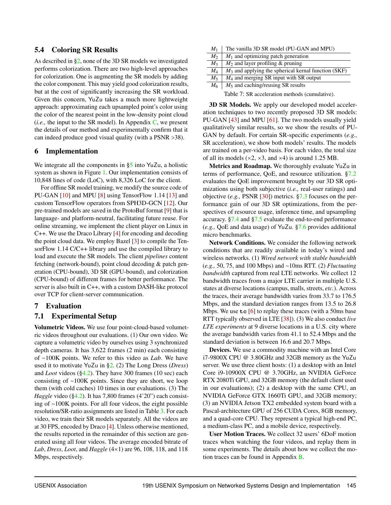## <span id="page-9-0"></span>5.4 Coloring SR Results

As described in [§2,](#page-2-2) none of the 3D SR models we investigated performs colorization. There are two high-level approaches for colorization. One is augmenting the SR models by adding the color component. This may yield good colorization results, but at the cost of significantly increasing the SR workload. Given this concern, YuZu takes a much more lightweight approach: approximating each upsampled point's color using the color of the nearest point in the low-density point cloud (*i.e.*, the input to the SR model). In Appendix  $C$ , we present the details of our method and experimentally confirm that it can indeed produce good visual quality (with a PSNR >38).

## 6 Implementation

We integrate all the components in [§5](#page-5-3) into YuZu, a holistic system as shown in Figure [1.](#page-4-1) Our implementation consists of 10,848 lines of code (LoC), with 8,326 LoC for the client.

For offline SR model training, we modify the source code of PU-GAN [\[10\]](#page-13-14) and MPU [\[8\]](#page-13-15) using TensorFlow 1.14 [\[13\]](#page-13-16) and custom TensorFlow operators from SPH3D-GCN [\[12\]](#page-13-17). Our pre-trained models are saved in the ProtoBuf format [\[9\]](#page-13-18) that is language- and platform-neutral, facilitating future reuse. For online streaming, we implement the client player on Linux in C++. We use the Draco Library [\[4\]](#page-13-19) for encoding and decoding the point cloud data. We employ Bazel [\[3\]](#page-13-20) to compile the TensorFlow 1.14 C/C++ library and use the compiled library to load and execute the SR models. The client *pipelines* content fetching (network-bound), point cloud decoding & patch generation (CPU-bound), 3D SR (GPU-bound), and colorization (CPU-bound) of different frames for better performance. The server is also built in C++, with a custom DASH-like protocol over TCP for client-server communication.

## <span id="page-9-1"></span>7 Evaluation

# <span id="page-9-3"></span>7.1 Experimental Setup

Volumetric Videos. We use four point-cloud-based volumetric videos throughout our evaluations. (1) Our own video. We capture a volumetric video by ourselves using 3 synchronized depth cameras. It has 3,622 frames (2 min) each consisting of ∼100K points. We refer to this video as *Lab*. We have used it to motivate YuZu in [§2.](#page-2-2) (2) The Long Dress (*Dress*) and *Loot* videos ([§4.2\)](#page-4-0). They have 300 frames (10 sec) each consisting of ∼100K points. Since they are short, we loop them (with cold caches) 10 times in our evaluations. (3) The *Haggle* video ([§4.2\)](#page-4-0). It has 7,800 frames (4'20") each consisting of ∼100K points. For all four videos, the eight possible resolution/SR-ratio assignments are listed in Table [3.](#page-5-1) For each video, we train their SR models separately. All the videos are at 30 FPS, encoded by Draco [\[4\]](#page-13-19). Unless otherwise mentioned, the results reported in the remainder of this section are generated using all four videos. The average encoded bitrate of *Lab*, *Dress*, *Loot*, and *Haggle* (4×1) are 96, 108, 118, and 118 Mbps, respectively.

<span id="page-9-2"></span>

| $M_1$                                          | The vanilla 3D SR model (PU-GAN and MPU)               |  |  |  |  |
|------------------------------------------------|--------------------------------------------------------|--|--|--|--|
| M <sub>2</sub>                                 | $M_1$ and optimizing patch generation                  |  |  |  |  |
| $M_3$                                          | $M_2$ and layer profiling & pruning                    |  |  |  |  |
| $M_{\rm 4}$                                    | $M_3$ and applying the spherical kernal function (SKF) |  |  |  |  |
| $M_5$                                          | $M_4$ and merging SR input with SR output              |  |  |  |  |
| M <sub>6</sub>                                 | $M_5$ and caching/reusing SR results                   |  |  |  |  |
| Table 7: SR acceleration methods (cumulative). |                                                        |  |  |  |  |

3D SR Models. We apply our developed model acceleration techniques to two recently proposed 3D SR models: PU-GAN [\[43\]](#page-14-3) and MPU [\[61\]](#page-15-4). The two models usually yield qualitatively similar results, so we show the results of PU-GAN by default. For certain SR-specific experiments (*e.g.,* SR acceleration), we show both models' results. The models are trained on a per-video basis. For each video, the total size of all its models  $(x2, x3, \text{ and } x4)$  is around 1.25 MB.

Metrics and Roadmap. We thoroughly evaluate YuZu in terms of performance, QoE, and resource utilization. [§7.2](#page-10-2) evaluates the QoE improvement brought by our 3D SR optimizations using both subjective (*i.e.,* real-user ratings) and objective (*e.g.,* PSNR [\[30\]](#page-14-16)) metrics. [§7.3](#page-10-1) focuses on the performance gain of our 3D SR optimizations, from the perspectives of resource usage, inference time, and upsampling accuracy. [§7.4](#page-11-0) and [§7.5](#page-11-1) evaluate the end-to-end performance (*e.g.,* QoE and data usage) of YuZu. [§7.6](#page-12-0) provides additional micro benchmarks.

Network Conditions. We consider the following network conditions that are readily available in today's wired and wireless networks. (1) *Wired network with stable bandwidth* (*e.g.,* 50, 75, and 100 Mbps) and ∼10ms RTT. (2) *Fluctuating bandwidth* captured from real LTE networks. We collect 12 bandwidth traces from a major LTE carrier in multiple U.S. states at diverse locations (campus, malls, streets, *etc.*). Across the traces, their average bandwidth varies from 33.7 to 176.5 Mbps, and the standard deviation ranges from 13.5 to 26.8 Mbps. We use **tc** [\[6\]](#page-13-21) to replay these traces (with a 50ms base RTT typically observed in LTE [\[38\]](#page-14-17)). (3) We also conduct *live LTE experiments* at 9 diverse locations in a U.S. city where the average bandwidth varies from 41.1 to 52.4 Mbps and the standard deviation is between 16.6 and 20.7 Mbps.

Devices. We use a commodity machine with an Intel Core i7-9800X CPU @ 3.80GHz and 32GB memory as the YuZu server. We use three client hosts: (1) a desktop with an Intel Core i9-10900X CPU @ 3.70GHz, an NVIDIA GeForce RTX 2080Ti GPU, and 32GB memory (the default client used in our evaluations); (2) a desktop with the same CPU, an NVIDIA GeForce GTX 1660Ti GPU, and 32GB memory; (3) an NVIDIA Jetson TX2 embedded system board with a Pascal-architecture GPU of 256 CUDA Cores, 8GB memory, and a quad-core CPU. They represent a typical high-end PC, a medium-class PC, and a mobile device, respectively.

User Motion Traces. We collect 32 users' 6DoF motion traces when watching the four videos, and replay them in some experiments. The details about how we collect the motion traces can be found in Appendix [B.](#page-16-0)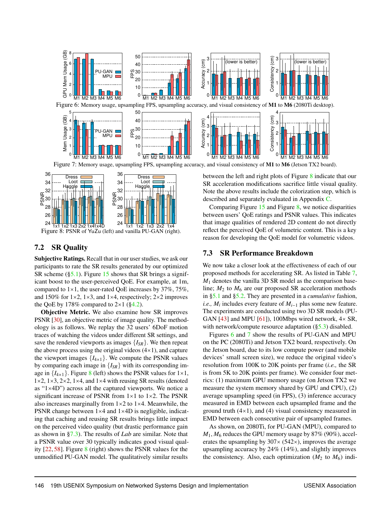<span id="page-10-4"></span><span id="page-10-0"></span>

 $^{2+}$  1x1 1x2 1x3 2x2 1x41x4D  $^{2+}$  1x1 1x2 1x3 2x2 1x4<br>Figure 8: PSNR of YuZu (left) and vanilla PU-GAN (right). 24

26

# <span id="page-10-2"></span>7.2 SR Quality

<span id="page-10-3"></span>PSNR

Subjective Ratings. Recall that in our user studies, we ask our participants to rate the SR results generated by our optimized SR scheme  $(\S_5.1)$ . Figure [15](#page-17-0) shows that SR brings a significant boost to the user-perceived QoE. For example, at 1m, compared to  $1\times1$ , the user-rated OoE increases by 37%, 75%, and 150% for  $1\times2$ ,  $1\times3$ , and  $1\times4$ , respectively;  $2\times2$  improves the QoE by 178% compared to  $2\times1$  ([§4.2\)](#page-4-0).

Objective Metric. We also examine how SR improves PSNR [\[30\]](#page-14-16), an objective metric of image quality. The methodology is as follows. We replay the 32 users' 6DoF motion traces of watching the videos under different SR settings, and save the rendered viewports as images  ${I_{SR}}$ . We then repeat the above process using the original videos  $(4\times1)$ , and capture the viewport images  ${I_{4\times1}}$ . We compute the PSNR values by comparing each image in  ${I_{SR}}$  with its corresponding image in  $\{I_{4\times1}\}\$ . Figure [8](#page-10-3) (left) shows the PSNR values for  $1\times1$ ,  $1\times2$ ,  $1\times3$ ,  $2\times2$ ,  $1\times4$ , and  $1\times4$  with reusing SR results (denoted as "1×4D") across all the captured viewports. We notice a significant increase of PSNR from  $1 \times 1$  to  $1 \times 2$ . The PSNR also increases marginally from  $1\times 2$  to  $1\times 4$ . Meanwhile, the PSNR change between 1×4 and 1×4D is negligible, indicating that caching and reusing SR results brings little impact on the perceived video quality (but drastic performance gain as shown in [§7.3\)](#page-10-1). The results of *Lab* are similar. Note that a PSNR value over 30 typically indicates good visual quality [\[22,](#page-13-4) [58\]](#page-15-17). Figure [8](#page-10-3) (right) shows the PSNR values for the unmodified PU-GAN model. The qualitatively similar results

Note the above results include the colorization step, which is Comparing Figure [15](#page-17-0) and Figure [8,](#page-10-3) we notice disparities between users' QoE ratings and PSNR values. This indicates

that image qualities of rendered 2D content do not directly reflect the perceived QoE of volumetric content. This is a key reason for developing the QoE model for volumetric videos.

## <span id="page-10-1"></span>7.3 SR Performance Breakdown

We now take a closer look at the effectiveness of each of our proposed methods for accelerating SR. As listed in Table [7,](#page-9-2) *M*<sup>1</sup> denotes the vanilla 3D SR model as the comparison baseline;  $M_2$  to  $M_6$  are our proposed SR acceleration methods in [§5.1](#page-5-0) and [§5.2.](#page-7-0) They are presented in a *cumulative* fashion, *i.e., M<sub>i</sub>* includes every feature of *M*<sub>*i*−1</sub> plus some new feature. The experiments are conducted using two 3D SR models (PU-GAN [\[43\]](#page-14-3) and MPU [\[61\]](#page-15-4)), 100Mbps wired network,  $4 \times SR$ , with network/compute resource adaptation ([§5.3\)](#page-8-0) disabled.

Figures [6](#page-10-0) and [7](#page-10-4) show the results of PU-GAN and MPU on the PC (2080Ti) and Jetson TX2 board, respectively. On the Jetson board, due to its low compute power (and mobile devices' small screen size), we reduce the original video's resolution from 100K to 20K points per frame (*i.e.,* the SR is from 5K to 20K points per frame). We consider four metrics: (1) maximum GPU memory usage (on Jetson TX2 we measure the system memory shared by GPU and CPU), (2) average upsampling speed (in FPS), (3) inference accuracy measured in EMD between each upsampled frame and the ground truth  $(4\times1)$ , and  $(4)$  visual consistency measured in EMD between each consecutive pair of upsampled frames.

As shown, on 2080Ti, for PU-GAN (MPU), compared to  $M_1, M_6$  reduces the GPU memory usage by 87% (90%), accelerates the upsampling by  $307 \times (542 \times)$ , improves the average upsampling accuracy by 24% (14%), and slightly improves the consistency. Also, each optimization  $(M_2$  to  $M_6)$  indi-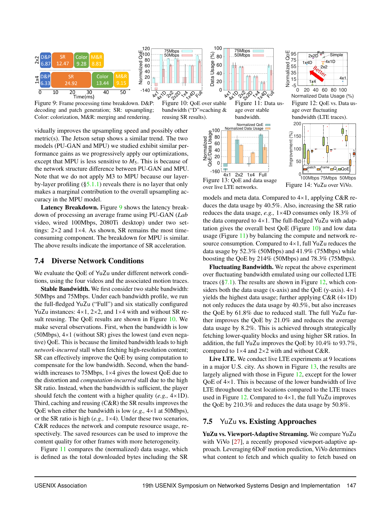<span id="page-11-2"></span>

Figure 9: Frame processing time breakdown. D&P: decoding and patch generation; SR: upsampling; Color: colorization, M&R: merging and rendering.

-140  $x^2$ AXD 2 P 2 LA AXD EVA  $\Omega$ 20 40 60 80  $\frac{4}{6}$ 100 Normolized QoE 50Mbps Figure 10: QoE over stable

> bandwidth ("D"=caching & reusing SR results).

75Mbps

 $\mu$ <sup>120</sup>

Normolized



Figure 11: Data usage over stable bandwidth.



0 20 40 60 80 100 Normalized Data Usage (%) Figure 12: QoE vs. Data usage over fluctuating bandwidth (LTE traces). 200

Ĥ

<span id="page-11-3"></span>



100

 $\widehat{\otimes}$ 150

Figure 13: QoE and data usage over live LTE networks. Figure 14: YuZu over ViVo.

curacy in the MPU model. Latency Breakdown. Figure [9](#page-11-2) shows the latency breakdown of processing an average frame using PU-GAN (*Lab* video, wired 100Mbps, 2080Ti desktop) under two settings:  $2\times 2$  and  $1\times 4$ . As shown, SR remains the most timeconsuming component. The breakdown for MPU is similar. The above results indicate the importance of SR acceleration.

vidually improves the upsampling speed and possibly other metric(s). The Jetson setup shows a similar trend. The two models (PU-GAN and MPU) we studied exhibit similar performance gains as we progressively apply our optimizations, except that MPU is less sensitive to  $M_5$ . This is because of the network structure difference between PU-GAN and MPU. Note that we do not apply M3 to MPU because our layerby-layer profiling  $(\S 5.1.1)$  reveals there is no layer that only makes a marginal contribution to the overall upsampling ac-

#### <span id="page-11-0"></span>7.4 Diverse Network Conditions

We evaluate the QoE of YuZu under different network conditions, using the four videos and the associated motion traces.

Stable Bandwidth. We first consider two stable bandwidth: 50Mbps and 75Mbps. Under each bandwidth profile, we run the full-fledged YuZu ("Full") and six statically configured YuZu instances:  $4 \times 1$ ,  $2 \times 2$ , and  $1 \times 4$  with and without SR result reusing. The QoE results are shown in Figure [10.](#page-11-2) We make several observations. First, when the bandwidth is low (50Mbps), 4×1 (without SR) gives the lowest (and even negative) QoE. This is because the limited bandwidth leads to high *network-incurred* stall when fetching high-resolution content; SR can effectively improve the QoE by using computation to compensate for the low bandwidth. Second, when the bandwidth increases to 75Mbps, 1×4 gives the lowest QoE due to the distortion and *computation-incurred* stall due to the high SR ratio. Instead, when the bandwidth is sufficient, the player should fetch the content with a higher quality (*e.g.,* 4×1D). Third, caching and reusing (C&R) the SR results improves the QoE when either the bandwidth is low (*e.g.,* 4×1 at 50Mbps), or the SR ratio is high (*e.g.,* 1×4). Under these two scenarios, C&R reduces the network and compute resource usage, respectively. The saved resources can be used to improve the content quality for other frames with more heterogeneity.

Figure [11](#page-11-2) compares the (normalized) data usage, which is defined as the total downloaded bytes including the SR models and meta data. Compared to 4×1, applying C&R reduces the data usage by 40.5%. Also, increasing the SR ratio reduces the data usage, *e.g.,* 1×4D consumes only 18.3% of the data compared to 4×1. The full-fledged YuZu with adaptation gives the overall best  $QoE$  (Figure [10\)](#page-11-2) and low data usage (Figure [11\)](#page-11-2) by balancing the compute and network resource consumption. Compared to 4×1, full YuZu reduces the data usage by 52.3% (50Mbps) and 41.9% (75Mbps) while boosting the QoE by 214% (50Mbps) and 78.3% (75Mbps).

Fluctuating Bandwidth. We repeat the above experiment over fluctuating bandwidth emulated using our collected LTE traces  $(\S7.1)$ . The results are shown in Figure [12,](#page-11-2) which considers both the data usage (x-axis) and the QoE (y-axis).  $4\times1$ yields the highest data usage; further applying  $C&R(4\times1D)$ not only reduces the data usage by 40.5%, but also increases the QoE by 61.8% due to reduced stall. The full YuZu further improves the QoE by 21.0% and reduces the average data usage by 8.2%. This is achieved through strategically fetching lower-quality blocks and using higher SR ratios. In addition, the full YuZu improves the QoE by 10.4% to 93.7%, compared to 1×4 and 2×2 with and without C&R.

Live LTE. We conduct live LTE experiments at 9 locations in a major U.S. city. As shown in Figure [13,](#page-11-3) the results are largely aligned with those in Figure [12,](#page-11-2) except for the lower  $QoE$  of  $4\times1$ . This is because of the lower bandwidth of live LTE throughout the test locations compared to the LTE traces used in Figure [12.](#page-11-2) Compared to  $4\times1$ , the full YuZu improves the QoE by 210.3% and reduces the data usage by 50.8%.

#### <span id="page-11-1"></span>7.5 YuZu vs. Existing Approaches

YuZu vs. Viewport-Adaptive Streaming. We compare YuZu with ViVo [\[27\]](#page-13-1), a recently proposed viewport-adaptive approach. Leveraging 6DoF motion prediction, ViVo determines what content to fetch and which quality to fetch based on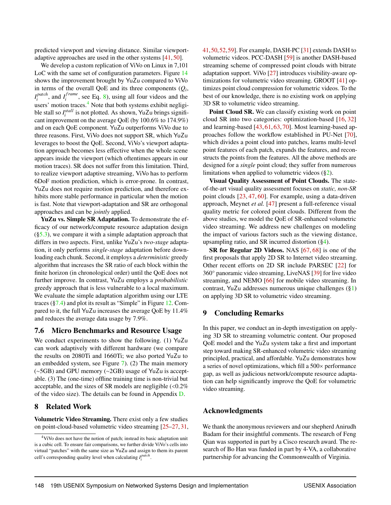predicted viewport and viewing distance. Similar viewportadaptive approaches are used in the other systems [\[41,](#page-14-1) [50\]](#page-14-2).

We develop a custom replication of ViVo on Linux in 7,101 LoC with the same set of configuration parameters. Figure [14](#page-11-3) shows the improvement brought by YuZu compared to ViVo in terms of the overall QoE and its three components (*Q<sup>i</sup>* , *I patch*  $I_i^{patch}$ , and  $I_i^{frame}$  $i<sub>i</sub>$ , see Eq. [8\)](#page-4-5), using all four videos and the users' motion traces.<sup>[4](#page-12-1)</sup> Note that both systems exhibit negligible stall so  $I_i^{stall}$  is not plotted. As shown, YuZu brings significant improvement on the average QoE (by 100.6% to 174.9%) and on each QoE component. YuZu outperforms ViVo due to three reasons. First, ViVo does not support SR, which YuZu leverages to boost the QoE. Second, ViVo's viewport adaptation approach becomes less effective when the whole scene appears inside the viewport (which oftentimes appears in our motion traces). SR does not suffer from this limitation. Third, to realize viewport adaptive streaming, ViVo has to perform 6DoF motion prediction, which is error-prone. In contrast, YuZu does not require motion prediction, and therefore exhibits more stable performance in particular when the motion is fast. Note that viewport-adaptation and SR are orthogonal approaches and can be *jointly* applied.

YuZu vs. Simple SR Adaptation. To demonstrate the efficacy of our network/compute resource adaptation design  $(\S5.3)$ , we compare it with a simple adaptation approach that differs in two aspects. First, unlike YuZu's *two-stage* adaptation, it only performs *single-stage* adaptation before downloading each chunk. Second, it employs a *deterministic* greedy algorithm that increases the SR ratio of each block within the finite horizon (in chronological order) until the QoE does not further improve. In contrast, YuZu employs a *probabilistic* greedy approach that is less vulnerable to a local maximum. We evaluate the simple adaptation algorithm using our LTE traces ([§7.4\)](#page-11-0) and plot its result as "Simple" in Figure [12.](#page-11-2) Compared to it, the full YuZu increases the average QoE by 11.4% and reduces the average data usage by 7.9%.

## <span id="page-12-0"></span>7.6 Micro Benchmarks and Resource Usage

We conduct experiments to show the following. (1) YuZu can work adaptively with different hardware (we compare the results on 2080Ti and 1660Ti; we also ported YuZu to an embedded system, see Figure [7\)](#page-10-4). (2) The main memory (∼5GB) and GPU memory (∼2GB) usage of YuZu is acceptable. (3) The (one-time) offline training time is non-trivial but acceptable, and the sizes of SR models are negligible  $\langle 0.2\%$ of the video size). The details can be found in Appendix [D.](#page-17-1)

# 8 Related Work

Volumetric Video Streaming. There exist only a few studies on point-cloud-based volumetric video streaming [\[25](#page-13-22)[–27,](#page-13-1) [31,](#page-14-18) [41,](#page-14-1)[50,](#page-14-2)[52,](#page-15-2)[59\]](#page-15-18). For example, DASH-PC [\[31\]](#page-14-18) extends DASH to volumetric videos. PCC-DASH [\[59\]](#page-15-18) is another DASH-based streaming scheme of compressed point clouds with bitrate adaptation support. ViVo [\[27\]](#page-13-1) introduces visibility-aware optimizations for volumetric video streaming. GROOT [\[41\]](#page-14-1) optimizes point cloud compression for volumetric videos. To the best of our knowledge, there is no existing work on applying 3D SR to volumetric video streaming.

Point Cloud SR. We can classify existing work on point cloud SR into two categories: optimization-based [\[16,](#page-13-23) [32\]](#page-14-19) and learning-based [\[43,](#page-14-3) [61,](#page-15-4) [63,](#page-15-5) [70\]](#page-15-6). Most learning-based approaches follow the workflow established in PU-Net [\[70\]](#page-15-6), which divides a point cloud into patches, learns multi-level point features of each patch, expands the features, and reconstructs the points from the features. All the above methods are designed for a *single* point cloud; they suffer from numerous limitations when applied to volumetric videos ([§2\)](#page-2-2).

Visual Quality Assessment of Point Clouds. The stateof-the-art visual quality assessment focuses on *static, non-SR* point clouds [\[23,](#page-13-24) [47,](#page-14-20) [60\]](#page-15-19). For example, using a data-driven approach, Meynet *et al.* [\[47\]](#page-14-20) present a full-reference visual quality metric for colored point clouds. Different from the above studies, we model the QoE of SR-enhanced volumetric video streaming. We address new challenges on modeling the impact of various factors such as the viewing distance, upsampling ratio, and SR incurred distortion  $(\S4)$ .

SR for Regular 2D Videos. NAS [\[67,](#page-15-20) [68\]](#page-15-7) is one of the first proposals that apply 2D SR to Internet video streaming. Other recent efforts on 2D SR include PARSEC [\[22\]](#page-13-4) for 360° panoramic video streaming, LiveNAS [\[39\]](#page-14-4) for live video streaming, and NEMO [\[66\]](#page-15-13) for mobile video streaming. In contrast, YuZu addresses numerous unique challenges ([§1\)](#page-1-1) on applying 3D SR to volumetric video streaming.

# 9 Concluding Remarks

In this paper, we conduct an in-depth investigation on applying 3D SR to streaming volumetric content. Our proposed QoE model and the YuZu system take a first and important step toward making SR-enhanced volumetric video streaming principled, practical, and affordable. YuZu demonstrates how a series of novel optimizations, which fill a 500× performance gap, as well as judicious network/compute resource adaptation can help significantly improve the QoE for volumetric video streaming.

# Acknowledgments

We thank the anonymous reviewers and our shepherd Anirudh Badam for their insightful comments. The research of Feng Qian was supported in part by a Cisco research award. The research of Bo Han was funded in part by 4-VA, a collaborative partnership for advancing the Commonwealth of Virginia.

<span id="page-12-1"></span><sup>4</sup>ViVo does not have the notion of patch; instead its basic adaptation unit is a cubic cell. To ensure fair comparisons, we further divide ViVo's cells into virtual "patches" with the same size as YuZu and assign to them its parent cell's corresponding quality level when calculating  $I_i^{patch}$ .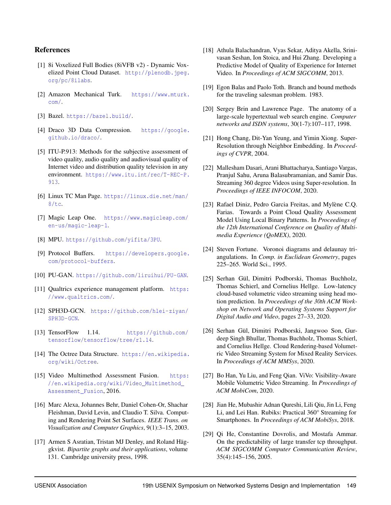## References

- <span id="page-13-5"></span>[1] 8i Voxelized Full Bodies (8iVFB v2) - Dynamic Voxelized Point Cloud Dataset. [http://plenodb.jpeg.](http://plenodb.jpeg.org/pc/8ilabs) [org/pc/8ilabs](http://plenodb.jpeg.org/pc/8ilabs).
- <span id="page-13-9"></span>[2] Amazon Mechanical Turk. [https://www.mturk.](https://www.mturk.com/) [com/](https://www.mturk.com/).
- <span id="page-13-20"></span>[3] Bazel. <https://bazel.build/>.
- <span id="page-13-19"></span>[4] Draco 3D Data Compression. [https://google.](https://google.github.io/draco/) [github.io/draco/](https://google.github.io/draco/).
- <span id="page-13-25"></span>[5] ITU-P.913: Methods for the subjective assessment of video quality, audio quality and audiovisual quality of Internet video and distribution quality television in any environment. [https://www.itu.int/rec/T-REC-P.](https://www.itu.int/rec/T-REC-P.913) [913](https://www.itu.int/rec/T-REC-P.913).
- <span id="page-13-21"></span>[6] Linux TC Man Page. [https://linux.die.net/man/](https://linux.die.net/man/8/tc) [8/tc](https://linux.die.net/man/8/tc).
- <span id="page-13-27"></span>[7] Magic Leap One. [https://www.magicleap.com/](https://www.magicleap.com/en-us/magic-leap-1) [en-us/magic-leap-1](https://www.magicleap.com/en-us/magic-leap-1).
- <span id="page-13-15"></span>[8] MPU. <https://github.com/yifita/3PU>.
- <span id="page-13-18"></span>[9] Protocol Buffers. [https://developers.google.](https://developers.google.com/protocol-buffers) [com/protocol-buffers](https://developers.google.com/protocol-buffers).
- <span id="page-13-14"></span>[10] PU-GAN. <https://github.com/liruihui/PU-GAN>.
- <span id="page-13-8"></span>[11] Qualtrics experience management platform. [https:](https://www.qualtrics.com/) [//www.qualtrics.com/](https://www.qualtrics.com/).
- <span id="page-13-17"></span>[12] SPH3D-GCN. [https://github.com/hlei-ziyan/](https://github.com/hlei-ziyan/SPH3D-GCN) [SPH3D-GCN](https://github.com/hlei-ziyan/SPH3D-GCN).
- <span id="page-13-16"></span>[13] TensorFlow 1.14. [https://github.com/](https://github.com/tensorflow/tensorflow/tree/r1.14) [tensorflow/tensorflow/tree/r1.14](https://github.com/tensorflow/tensorflow/tree/r1.14).
- <span id="page-13-28"></span>[14] The Octree Data Structure. [https://en.wikipedia.](https://en.wikipedia.org/wiki/Octree) [org/wiki/Octree](https://en.wikipedia.org/wiki/Octree).
- <span id="page-13-6"></span>[15] Video Multimethod Assessment Fusion. [https:](https://en.wikipedia.org/wiki/Video_Multimethod_Assessment_Fusion) [//en.wikipedia.org/wiki/Video\\_Multimethod\\_](https://en.wikipedia.org/wiki/Video_Multimethod_Assessment_Fusion) [Assessment\\_Fusion](https://en.wikipedia.org/wiki/Video_Multimethod_Assessment_Fusion), 2016.
- <span id="page-13-23"></span>[16] Marc Alexa, Johannes Behr, Daniel Cohen-Or, Shachar Fleishman, David Levin, and Claudio T. Silva. Computing and Rendering Point Set Surfaces. *IEEE Trans. on Visualization and Computer Graphics*, 9(1):3–15, 2003.
- <span id="page-13-11"></span>[17] Armen S Asratian, Tristan MJ Denley, and Roland Häggkvist. *Bipartite graphs and their applications*, volume 131. Cambridge university press, 1998.
- <span id="page-13-7"></span>[18] Athula Balachandran, Vyas Sekar, Aditya Akella, Srinivasan Seshan, Ion Stoica, and Hui Zhang. Developing a Predictive Model of Quality of Experience for Internet Video. In *Proceedings of ACM SIGCOMM*, 2013.
- <span id="page-13-12"></span>[19] Egon Balas and Paolo Toth. Branch and bound methods for the traveling salesman problem. 1983.
- <span id="page-13-26"></span>[20] Sergey Brin and Lawrence Page. The anatomy of a large-scale hypertextual web search engine. *Computer networks and ISDN systems*, 30(1-7):107–117, 1998.
- <span id="page-13-3"></span>[21] Hong Chang, Dit-Yan Yeung, and Yimin Xiong. Super-Resolution through Neighbor Embedding. In *Proceedings of CVPR*, 2004.
- <span id="page-13-4"></span>[22] Mallesham Dasari, Arani Bhattacharya, Santiago Vargas, Pranjul Sahu, Aruna Balasubramanian, and Samir Das. Streaming 360 degree Videos using Super-resolution. In *Proceedings of IEEE INFOCOM*, 2020.
- <span id="page-13-24"></span>[23] Rafael Diniz, Pedro Garcia Freitas, and Mylène C.Q. Farias. Towards a Point Cloud Quality Assessment Model Using Local Binary Patterns. In *Proceedings of the 12th International Conference on Quality of Multimedia Experience (QoMEX)*, 2020.
- <span id="page-13-10"></span>[24] Steven Fortune. Voronoi diagrams and delaunay triangulations. In *Comp. in Euclidean Geometry*, pages 225–265. World Sci., 1995.
- <span id="page-13-22"></span>[25] Serhan Gül, Dimitri Podborski, Thomas Buchholz, Thomas Schierl, and Cornelius Hellge. Low-latency cloud-based volumetric video streaming using head motion prediction. In *Proceedings of the 30th ACM Workshop on Network and Operating Systems Support for Digital Audio and Video*, pages 27–33, 2020.
- <span id="page-13-2"></span>[26] Serhan Gül, Dimitri Podborski, Jangwoo Son, Gurdeep Singh Bhullar, Thomas Buchholz, Thomas Schierl, and Cornelius Hellge. Cloud Rendering-based Volumetric Video Streaming System for Mixed Reality Services. In *Proceedings of ACM MMSys*, 2020.
- <span id="page-13-1"></span>[27] Bo Han, Yu Liu, and Feng Qian. ViVo: Visibility-Aware Mobile Volumetric Video Streaming. In *Proceedings of ACM MobiCom*, 2020.
- <span id="page-13-0"></span>[28] Jian He, Mubashir Adnan Qureshi, Lili Qiu, Jin Li, Feng Li, and Lei Han. Rubiks: Practical 360° Streaming for Smartphones. In *Proceedings of ACM MobiSys*, 2018.
- <span id="page-13-13"></span>[29] Qi He, Constantine Dovrolis, and Mostafa Ammar. On the predictability of large transfer tcp throughput. *ACM SIGCOMM Computer Communication Review*, 35(4):145–156, 2005.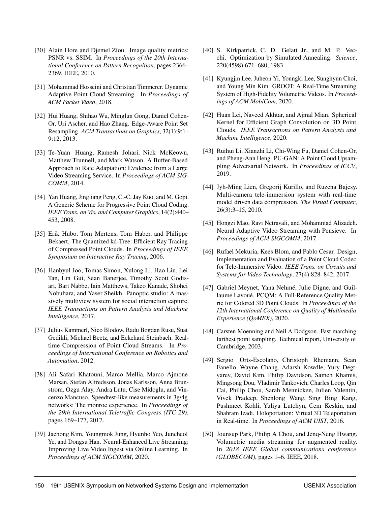- <span id="page-14-16"></span>[30] Alain Hore and Diemel Ziou. Image quality metrics: PSNR vs. SSIM. In *Proceedings of the 20th International Conference on Pattern Recognition*, pages 2366– 2369. IEEE, 2010.
- <span id="page-14-18"></span>[31] Mohammad Hosseini and Christian Timmerer. Dynamic Adaptive Point Cloud Streaming. In *Proceedings of ACM Packet Video*, 2018.
- <span id="page-14-19"></span>[32] Hui Huang, Shihao Wu, Minglun Gong, Daniel Cohen-Or, Uri Ascher, and Hao Zhang. Edge-Aware Point Set Resampling. *ACM Transactions on Graphics*, 32(1):9:1– 9:12, 2013.
- <span id="page-14-14"></span>[33] Te-Yuan Huang, Ramesh Johari, Nick McKeown, Matthew Trunnell, and Mark Watson. A Buffer-Based Approach to Rate Adaptation: Evidence from a Large Video Streaming Service. In *Proceedings of ACM SIG-COMM*, 2014.
- <span id="page-14-5"></span>[34] Yan Huang, Jingliang Peng, C.-C. Jay Kuo, and M. Gopi. A Generic Scheme for Progressive Point Cloud Coding. *IEEE Trans. on Vis. and Computer Graphics*, 14(2):440– 453, 2008.
- <span id="page-14-7"></span>[35] Erik Hubo, Tom Mertens, Tom Haber, and Philippe Bekaert. The Quantized kd-Tree: Efficient Ray Tracing of Compressed Point Clouds. In *Proceedings of IEEE Symposium on Interactive Ray Tracing*, 2006.
- <span id="page-14-9"></span>[36] Hanbyul Joo, Tomas Simon, Xulong Li, Hao Liu, Lei Tan, Lin Gui, Sean Banerjee, Timothy Scott Godisart, Bart Nabbe, Iain Matthews, Takeo Kanade, Shohei Nobuhara, and Yaser Sheikh. Panoptic studio: A massively multiview system for social interaction capture. *IEEE Transactions on Pattern Analysis and Machine Intelligence*, 2017.
- <span id="page-14-12"></span>[37] Julius Kammerl, Nico Blodow, Radu Bogdan Rusu, Suat Gedikli, Michael Beetz, and Eckehard Steinbach. Realtime Compression of Point Cloud Streams. In *Proceedings of International Conference on Robotics and Automation*, 2012.
- <span id="page-14-17"></span>[38] Ali Safari Khatouni, Marco Mellia, Marco Ajmone Marsan, Stefan Alfredsson, Jonas Karlsson, Anna Brunstrom, Ozgu Alay, Andra Lutu, Cise Midoglu, and Vincenzo Mancuso. Speedtest-like measurements in 3g/4g networks: The monroe experience. In *Proceedings of the 29th International Teletraffic Congress (ITC 29)*, pages 169–177, 2017.
- <span id="page-14-4"></span>[39] Jaehong Kim, Youngmok Jung, Hyunho Yeo, Juncheol Ye, and Dongsu Han. Neural-Enhanced Live Streaming: Improving Live Video Ingest via Online Learning. In *Proceedings of ACM SIGCOMM*, 2020.
- <span id="page-14-15"></span>[40] S. Kirkpatrick, C. D. Gelatt Jr., and M. P. Vecchi. Optimization by Simulated Annealing. *Science*, 220(4598):671–680, 1983.
- <span id="page-14-1"></span>[41] Kyungjin Lee, Juheon Yi, Youngki Lee, Sunghyun Choi, and Young Min Kim. GROOT: A Real-Time Streaming System of High-Fidelity Volumetric Videos. In *Proceedings of ACM MobiCom*, 2020.
- <span id="page-14-10"></span>[42] Huan Lei, Naveed Akhtar, and Ajmal Mian. Spherical Kernel for Efficient Graph Convolution on 3D Point Clouds. *IEEE Transactions on Pattern Analysis and Machine Intelligence*, 2020.
- <span id="page-14-3"></span>[43] Ruihui Li, Xianzhi Li, Chi-Wing Fu, Daniel Cohen-Or, and Pheng-Ann Heng. PU-GAN: A Point Cloud Upsampling Adversarial Network. In *Proceedings of ICCV*, 2019.
- <span id="page-14-8"></span>[44] Jyh-Ming Lien, Gregorij Kurillo, and Ruzena Bajcsy. Multi-camera tele-immersion system with real-time model driven data compression. *The Visual Computer*, 26(3):3–15, 2010.
- <span id="page-14-13"></span>[45] Hongzi Mao, Ravi Netravali, and Mohammad Alizadeh. Neural Adaptive Video Streaming with Pensieve. In *Proceedings of ACM SIGCOMM*, 2017.
- <span id="page-14-6"></span>[46] Rufael Mekuria, Kees Blom, and Pablo Cesar. Design, Implementation and Evaluation of a Point Cloud Codec for Tele-Immersive Video. *IEEE Trans. on Circuits and Systems for Video Technology*, 27(4):828–842, 2017.
- <span id="page-14-20"></span>[47] Gabriel Meynet, Yana Nehmé, Julie Digne, and Guillaume Lavoué. PCQM: A Full-Reference Quality Metric for Colored 3D Point Clouds. In *Proceedings of the 12th International Conference on Quality of Multimedia Experience (QoMEX)*, 2020.
- <span id="page-14-11"></span>[48] Carsten Moenning and Neil A Dodgson. Fast marching farthest point sampling. Technical report, University of Cambridge, 2003.
- <span id="page-14-0"></span>[49] Sergio Orts-Escolano, Christoph Rhemann, Sean Fanello, Wayne Chang, Adarsh Kowdle, Yury Degtyarev, David Kim, Philip Davidson, Sameh Khamis, Mingsong Dou, Vladimir Tankovich, Charles Loop, Qin Cai, Philip Chou, Sarah Mennicken, Julien Valentin, Vivek Pradeep, Shenlong Wang, Sing Bing Kang, Pushmeet Kohli, Yuliya Lutchyn, Cem Keskin, and Shahram Izadi. Holoportation: Virtual 3D Teleportation in Real-time. In *Proceedings of ACM UIST*, 2016.
- <span id="page-14-2"></span>[50] Jounsup Park, Philip A Chou, and Jeng-Neng Hwang. Volumetric media streaming for augmented reality. In *2018 IEEE Global communications conference (GLOBECOM)*, pages 1–6. IEEE, 2018.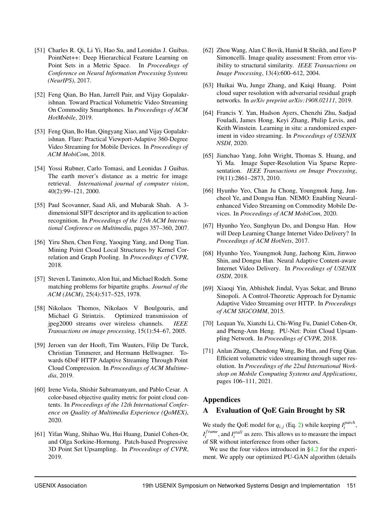- <span id="page-15-11"></span>[51] Charles R. Qi, Li Yi, Hao Su, and Leonidas J. Guibas. PointNet++: Deep Hierarchical Feature Learning on Point Sets in a Metric Space. In *Proceedings of Conference on Neural Information Processing Systems (NeurIPS)*, 2017.
- <span id="page-15-2"></span>[52] Feng Qian, Bo Han, Jarrell Pair, and Vijay Gopalakrishnan. Toward Practical Volumetric Video Streaming On Commodity Smartphones. In *Proceedings of ACM HotMobile*, 2019.
- <span id="page-15-0"></span>[53] Feng Qian, Bo Han, Qingyang Xiao, and Vijay Gopalakrishnan. Flare: Practical Viewport-Adaptive 360-Degree Video Streaming for Mobile Devices. In *Proceedings of ACM MobiCom*, 2018.
- <span id="page-15-8"></span>[54] Yossi Rubner, Carlo Tomasi, and Leonidas J Guibas. The earth mover's distance as a metric for image retrieval. *International journal of computer vision*, 40(2):99–121, 2000.
- <span id="page-15-14"></span>[55] Paul Scovanner, Saad Ali, and Mubarak Shah. A 3 dimensional SIFT descriptor and its application to action recognition. In *Proceedings of the 15th ACM International Conference on Multimedia*, pages 357–360, 2007.
- <span id="page-15-12"></span>[56] Yiru Shen, Chen Feng, Yaoqing Yang, and Dong Tian. Mining Point Cloud Local Structures by Kernel Correlation and Graph Pooling. In *Proceedings of CVPR*, 2018.
- <span id="page-15-15"></span>[57] Steven L Tanimoto, Alon Itai, and Michael Rodeh. Some matching problems for bipartite graphs. *Journal of the ACM (JACM)*, 25(4):517–525, 1978.
- <span id="page-15-17"></span>[58] Nikolaos Thomos, Nikolaos V Boulgouris, and Michael G Strintzis. Optimized transmission of jpeg2000 streams over wireless channels. *IEEE Transactions on image processing*, 15(1):54–67, 2005.
- <span id="page-15-18"></span>[59] Jeroen van der Hooft, Tim Wauters, Filip De Turck, Christian Timmerer, and Hermann Hellwagner. Towards 6DoF HTTP Adaptive Streaming Through Point Cloud Compression. In *Proceedings of ACM Multimedia*, 2019.
- <span id="page-15-19"></span>[60] Irene Viola, Shishir Subramanyam, and Pablo Cesar. A color-based objective quality metric for point cloud contents. In *Proceedings of the 12th International Conference on Quality of Multimedia Experience (QoMEX)*, 2020.
- <span id="page-15-4"></span>[61] Yifan Wang, Shihao Wu, Hui Huang, Daniel Cohen-Or, and Olga Sorkine-Hornung. Patch-based Progressive 3D Point Set Upsampling. In *Proceedings of CVPR*, 2019.
- <span id="page-15-21"></span>[62] Zhou Wang, Alan C Bovik, Hamid R Sheikh, and Eero P Simoncelli. Image quality assessment: From error visibility to structural similarity. *IEEE Transactions on Image Processing*, 13(4):600–612, 2004.
- <span id="page-15-5"></span>[63] Huikai Wu, Junge Zhang, and Kaiqi Huang. Point cloud super resolution with adversarial residual graph networks. In *arXiv preprint arXiv:1908.02111*, 2019.
- <span id="page-15-16"></span>[64] Francis Y. Yan, Hudson Ayers, Chenzhi Zhu, Sadjad Fouladi, James Hong, Keyi Zhang, Philip Levis, and Keith Winstein. Learning in situ: a randomized experiment in video streaming. In *Proceedings of USENIX NSDI*, 2020.
- <span id="page-15-3"></span>[65] Jianchao Yang, John Wright, Thomas S. Huang, and Yi Ma. Image Super-Resolution Via Sparse Representation. *IEEE Transactions on Image Processing*, 19(11):2861–2873, 2010.
- <span id="page-15-13"></span>[66] Hyunho Yeo, Chan Ju Chong, Youngmok Jung, Juncheol Ye, and Dongsu Han. NEMO: Enabling Neuralenhanced Video Streaming on Commodity Mobile Devices. In *Proceedings of ACM MobiCom*, 2020.
- <span id="page-15-20"></span>[67] Hyunho Yeo, Sunghyun Do, and Dongsu Han. How will Deep Learning Change Internet Video Delivery? In *Proceedings of ACM HotNets*, 2017.
- <span id="page-15-7"></span>[68] Hyunho Yeo, Youngmok Jung, Jaehong Kim, Jinwoo Shin, and Dongsu Han. Neural Adaptive Content-aware Internet Video Delivery. In *Proceedings of USENIX OSDI*, 2018.
- <span id="page-15-9"></span>[69] Xiaoqi Yin, Abhishek Jindal, Vyas Sekar, and Bruno Sinopoli. A Control-Theoretic Approach for Dynamic Adaptive Video Streaming over HTTP. In *Proceedings of ACM SIGCOMM*, 2015.
- <span id="page-15-6"></span>[70] Lequan Yu, Xianzhi Li, Chi-Wing Fu, Daniel Cohen-Or, and Pheng-Ann Heng. PU-Net: Point Cloud Upsampling Network. In *Proceedings of CVPR*, 2018.
- <span id="page-15-1"></span>[71] Anlan Zhang, Chendong Wang, Bo Han, and Feng Qian. Efficient volumetric video streaming through super resolution. In *Proceedings of the 22nd International Workshop on Mobile Computing Systems and Applications*, pages 106–111, 2021.

# Appendices

# <span id="page-15-10"></span>A Evaluation of QoE Gain Brought by SR

We study the QoE model for  $q_{i,j}$  (Eq. [2\)](#page-4-2) while keeping  $I_i^{patch}$ *i* , *I f rame*  $i_j^{frame}$ , and  $I_i^{stall}$  as zero. This allows us to measure the impact of SR without interference from other factors.

We use the four videos introduced in [§4.2](#page-4-0) for the experiment. We apply our optimized PU-GAN algorithm (details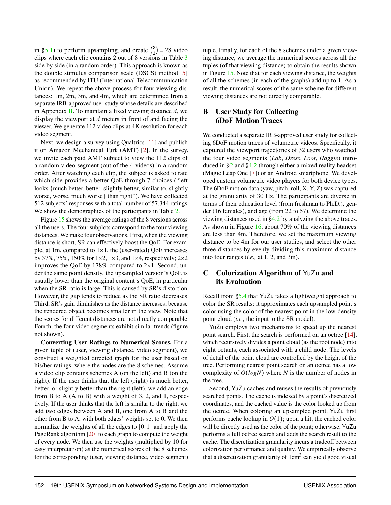in [§5.1\)](#page-5-0) to perform upsampling, and create  $\binom{8}{2}$  $_{2}^{8}$ ) = 28 video clips where each clip contains 2 out of 8 versions in Table [3](#page-5-1) side by side (in a random order). This approach is known as the double stimulus comparison scale (DSCS) method [\[5\]](#page-13-25) as recommended by ITU (International Telecommunication Union). We repeat the above process for four viewing distances: 1m, 2m, 3m, and 4m, which are determined from a separate IRB-approved user study whose details are described in Appendix [B.](#page-16-0) To maintain a fixed viewing distance *d*, we display the viewport at *d* meters in front of and facing the viewer. We generate 112 video clips at 4K resolution for each video segment.

Next, we design a survey using Qualtrics [\[11\]](#page-13-8) and publish it on Amazon Mechanical Turk (AMT) [\[2\]](#page-13-9). In the survey, we invite each paid AMT subject to view the 112 clips of a random video segment (out of the 4 videos) in a random order. After watching each clip, the subject is asked to rate which side provides a better QoE through 7 choices ("left looks {much better, better, slightly better, similar to, slightly worse, worse, much worse} than right"). We have collected 512 subjects' responses with a total number of 57,344 ratings. We show the demographics of the participants in Table [2.](#page-4-1)

Figure [15](#page-17-0) shows the average ratings of the 8 versions across all the users. The four subplots correspond to the four viewing distances. We make four observations. First, when the viewing distance is short, SR can effectively boost the QoE. For example, at 1m, compared to  $1\times1$ , the (user-rated) QoE increases by 37%, 75%, 150% for  $1\times 2$ ,  $1\times 3$ , and  $1\times 4$ , respectively;  $2\times 2$ improves the QoE by  $178\%$  compared to  $2\times1$ . Second, under the same point density, the upsampled version's QoE is usually lower than the original content's QoE, in particular when the SR ratio is large. This is caused by SR's distortion. However, the gap tends to reduce as the SR ratio decreases. Third, SR's gain diminishes as the distance increases, because the rendered object becomes smaller in the view. Note that the scores for different distances are not directly comparable. Fourth, the four video segments exhibit similar trends (figure not shown).

Converting User Ratings to Numerical Scores. For a given tuple of (user, viewing distance, video segment), we construct a weighted directed graph for the user based on his/her ratings, where the nodes are the 8 schemes. Assume a video clip contains schemes A (on the left) and B (on the right). If the user thinks that the left (right) is much better, better, or slightly better than the right (left), we add an edge from B to A (A to B) with a weight of 3, 2, and 1, respectively. If the user thinks that the left is similar to the right, we add two edges between A and B, one from A to B and the other from B to A, with both edges' weights set to 0. We then normalize the weights of all the edges to  $[0,1]$  and apply the PageRank algorithm [\[20\]](#page-13-26) to each graph to compute the weight of every node. We then use the weights (multiplied by 10 for easy interpretation) as the numerical scores of the 8 schemes for the corresponding (user, viewing distance, video segment) tuple. Finally, for each of the 8 schemes under a given viewing distance, we average the numerical scores across all the tuples (of that viewing distance) to obtain the results shown in Figure [15.](#page-17-0) Note that for each viewing distance, the weights of all the schemes (in each of the graphs) add up to 1. As a result, the numerical scores of the same scheme for different viewing distances are not directly comparable.

# <span id="page-16-0"></span>B User Study for Collecting 6DoF Motion Traces

We conducted a separate IRB-approved user study for collecting 6DoF motion traces of volumetric videos. Specifically, it captured the viewport trajectories of 32 users who watched the four video segments (*Lab*, *Dress*, *Loot*, *Haggle*) introduced in [§2](#page-2-2) and [§4.2](#page-4-0) through either a mixed reality headset (Magic Leap One [\[7\]](#page-13-27)) or an Android smartphone. We developed custom volumetric video players for both device types. The 6DoF motion data (yaw, pitch, roll, X, Y, Z) was captured at the granularity of 30 Hz. The participants are diverse in terms of their education level (from freshman to Ph.D.), gender (16 females), and age (from 22 to 57). We determine the viewing distances used in [§4.2](#page-4-0) by analyzing the above traces. As shown in Figure [16,](#page-17-2) about 70% of the viewing distances are less than 4m. Therefore, we set the maximum viewing distance to be 4m for our user studies, and select the other three distances by evenly dividing this maximum distance into four ranges (*i.e.,* at 1, 2, and 3m).

# <span id="page-16-1"></span>C Colorization Algorithm of YuZu and its Evaluation

Recall from [§5.4](#page-9-0) that YuZu takes a lightweight approach to color the SR results: it approximates each upsampled point's color using the color of the nearest point in the low-density point cloud (*i.e.,* the input to the SR model).

YuZu employs two mechanisms to speed up the nearest point search. First, the search is performed on an octree [\[14\]](#page-13-28), which recursively divides a point cloud (as the root node) into eight octants, each associated with a child node. The levels of detail of the point cloud are controlled by the height of the tree. Performing nearest point search on an octree has a low complexity of *O*(*logN*) where *N* is the number of nodes in the tree.

Second, YuZu caches and reuses the results of previously searched points. The cache is indexed by a point's discretized coordinates, and the cached value is the color looked up from the octree. When coloring an upsampled point, YuZu first performs cache lookup in  $O(1)$ ; upon a hit, the cached color will be directly used as the color of the point; otherwise, YuZu performs a full octree search and adds the search result to the cache. The discretization granularity incurs a tradeoff between colorization performance and quality. We empirically observe that a discretization granularity of 1cm<sup>3</sup> can yield good visual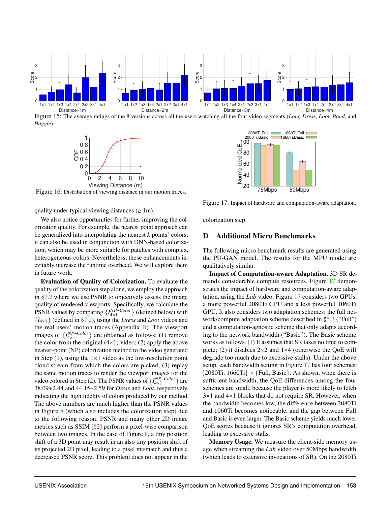<span id="page-17-0"></span>

<span id="page-17-2"></span>Figure 15: The average ratings of the 8 versions across all the users watching all the four video segments (*Long Dress*, *Loot*, *Band*, and *Haggle*).



Figure 16: Distribution of viewing distance in our motion traces.



We also notice opportunities for further improving the colorization quality. For example, the nearest point approach can be generalized into interpolating the nearest *k* points' colors; it can also be used in conjunction with DNN-based colorization, which may be more suitable for patches with complex, heterogeneous colors. Nevertheless, these enhancements inevitably increase the runtime overhead. We will explore them in future work.

Evaluation of Quality of Colorization. To evaluate the quality of the colorization step alone, we employ the approach in [§7.2](#page-10-2) where we use PSNR to objectively assess the image quality of rendered viewports. Specifically, we calculate the PSNR values by comparing  $\{I_{4\times1}^{NP-Color}\}$  (defined below) with {*I*4×1} (defined in [§7.2\)](#page-10-2), using the *Dress* and *Loot* videos and the real users' motion traces (Appendix  $B$ ). The viewport images of  $\{I_{4\times1}^{NP-Color}\}$  are obtained as follows: (1) remove the color from the original  $(4\times1)$  video; (2) apply the above nearest-point (NP) colorization method to the video generated in Step  $(1)$ , using the  $1\times1$  video as the low-resolution point cloud stream from which the colors are picked; (3) replay the same motion traces to render the viewport images for the video colored in Step (2). The PSNR values of  $\{I_{4\times1}^{NP-Color}\}$  are 38.09±2.44 and 44.15±2.59 for *Dress* and *Loot*, respectively, indicating the high fidelity of colors produced by our method. The above numbers are much higher than the PSNR values in Figure [8](#page-10-3) (which also includes the colorization step) due to the following reason. PSNR and many other 2D image metrics such as SSIM [\[62\]](#page-15-21) perform a pixel-wise comparison between two images. In the case of Figure [8,](#page-10-3) a tiny position shift of a 3D point may result in an also tiny position shift of its projected 2D pixel, leading to a pixel mismatch and thus a decreased PSNR score. This problem does not appear in the

<span id="page-17-3"></span>

Figure 17: Impact of hardware and computation-aware adaptation.

colorization step.

#### <span id="page-17-1"></span>D Additional Micro Benchmarks

The following micro benchmark results are generated using the PU-GAN model. The results for the MPU model are qualitatively similar.

Impact of Computation-aware Adaptation. 3D SR demands considerable compute resources. Figure [17](#page-17-3) demonstrates the impact of hardware and computation-aware adaptation, using the *Lab* video. Figure [17](#page-17-3) considers two GPUs: a more powerful 2080Ti GPU and a less powerful 1060Ti GPU. It also considers two adaptation schemes: the full network/compute adaptation scheme described in [§5.3](#page-8-0) ("Full") and a computation-agnostic scheme that only adapts according to the network bandwidth ("Basic"). The Basic scheme works as follows. (1) It assumes that SR takes no time to complete; (2) it disables  $2\times 2$  and  $1\times 4$  (otherwise the QoE will degrade too much due to excessive stalls). Under the above setup, each bandwidth setting in Figure [17](#page-17-3) has four schemes:  ${2080Ti, 1660Ti} \times {Full, Basic}$ . As shown, when there is sufficient bandwidth, the QoE differences among the four schemes are small, because the player is more likely to fetch  $3\times1$  and  $4\times1$  blocks that do not require SR. However, when the bandwidth becomes low, the difference between 2080Ti and 1060Ti becomes noticeable, and the gap between Full and Basic is even larger. The Basic scheme yields much lower QoE scores because it ignores SR's computation overhead, leading to excessive stalls.

Memory Usage. We measure the client-side memory usage when streaming the *Lab* video over 50Mbps bandwidth (which leads to extensive invocations of SR). On the 2080Ti